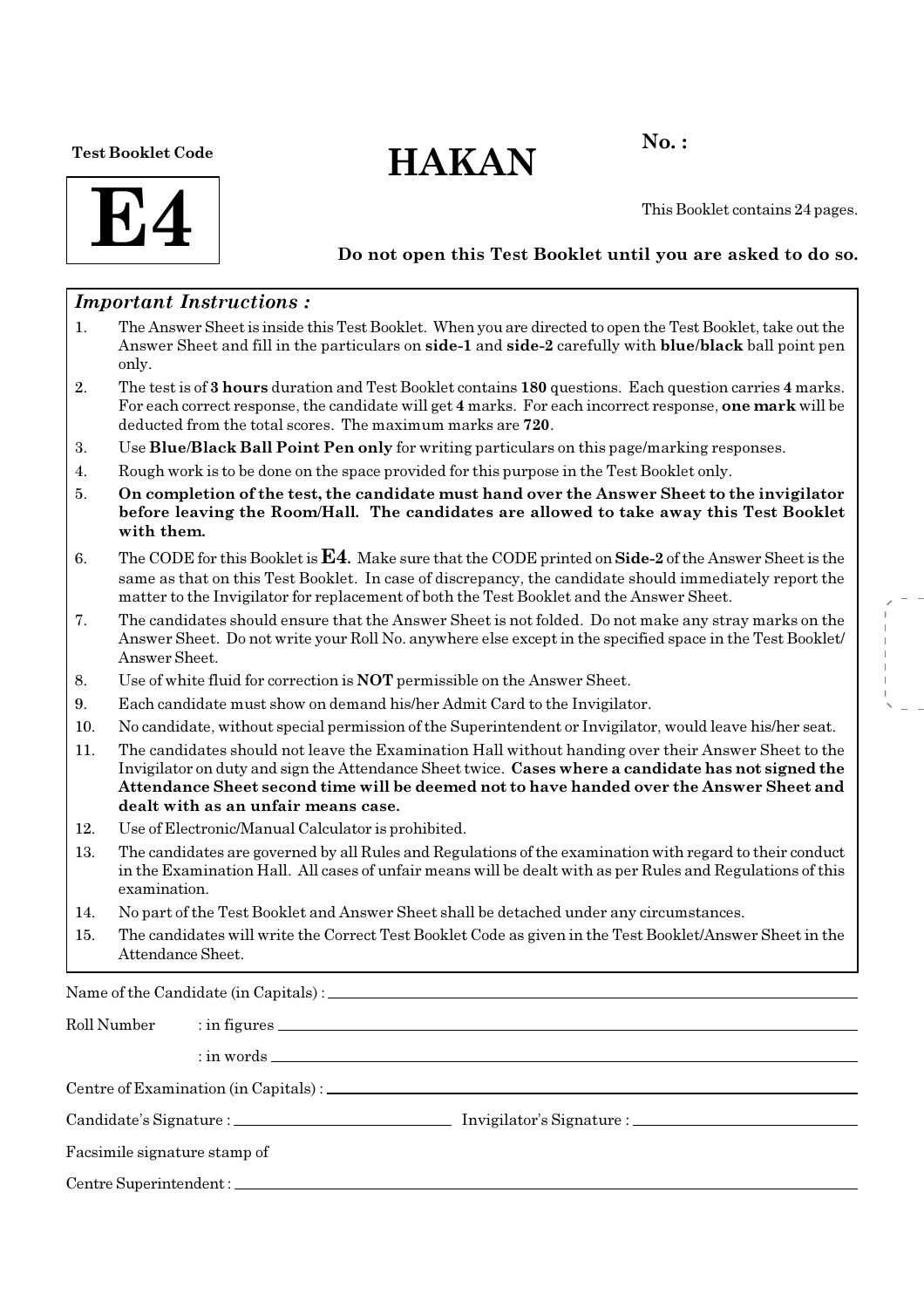### Test Booklet Code

# $HAKAN$ <sup>No.:</sup>



This Booklet contains 24 pages.

## Do not open this Test Booklet until you are asked to do so.

## Important Instructions :

- 1. The Answer Sheet is inside this Test Booklet. When you are directed to open the Test Booklet, take out the Answer Sheet and fill in the particulars on side-1 and side-2 carefully with blue/black ball point pen only.
- 2. The test is of 3 hours duration and Test Booklet contains 180 questions. Each question carries 4 marks. For each correct response, the candidate will get 4 marks. For each incorrect response, one mark will be deducted from the total scores. The maximum marks are 720.
- 3. Use Blue/Black Ball Point Pen only for writing particulars on this page/marking responses.
- 4. Rough work is to be done on the space provided for this purpose in the Test Booklet only.
- 5. On completion of the test, the candidate must hand over the Answer Sheet to the invigilator before leaving the Room/Hall. The candidates are allowed to take away this Test Booklet with them.
- 6. The CODE for this Booklet is  $E4$ . Make sure that the CODE printed on Side-2 of the Answer Sheet is the same as that on this Test Booklet. In case of discrepancy, the candidate should immediately report the matter to the Invigilator for replacement of both the Test Booklet and the Answer Sheet.
- 7. The candidates should ensure that the Answer Sheet is not folded. Do not make any stray marks on the Answer Sheet. Do not write your Roll No. anywhere else except in the specified space in the Test Booklet/ Answer Sheet.
- 8. Use of white fluid for correction is NOT permissible on the Answer Sheet.
- 9. Each candidate must show on demand his/her Admit Card to the Invigilator.
- 10. No candidate, without special permission of the Superintendent or Invigilator, would leave his/her seat.
- 11. The candidates should not leave the Examination Hall without handing over their Answer Sheet to the Invigilator on duty and sign the Attendance Sheet twice. Cases where a candidate has not signed the Attendance Sheet second time will be deemed not to have handed over the Answer Sheet and dealt with as an unfair means case.
- 12. Use of Electronic/Manual Calculator is prohibited.
- 13. The candidates are governed by all Rules and Regulations of the examination with regard to their conduct in the Examination Hall. All cases of unfair means will be dealt with as per Rules and Regulations of this examination.
- 14. No part of the Test Booklet and Answer Sheet shall be detached under any circumstances.
- 15. The candidates will write the Correct Test Booklet Code as given in the Test Booklet/Answer Sheet in the Attendance Sheet.

Name of the Candidate (in Capitals) :

| Roll Number                  |  |  |  |  |  |  |
|------------------------------|--|--|--|--|--|--|
|                              |  |  |  |  |  |  |
|                              |  |  |  |  |  |  |
|                              |  |  |  |  |  |  |
| Facsimile signature stamp of |  |  |  |  |  |  |
|                              |  |  |  |  |  |  |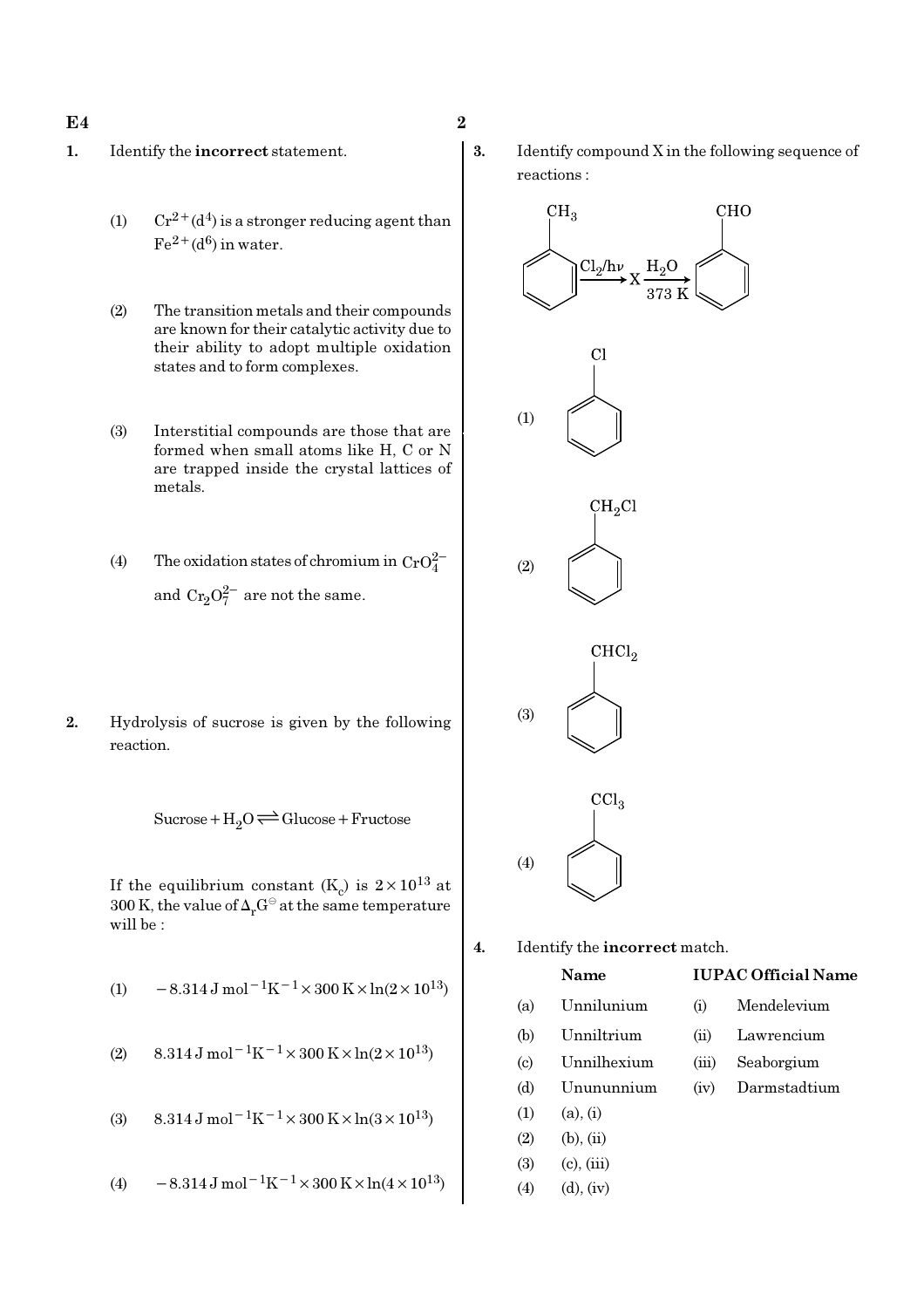### $E4$  2

- 1. Identify the incorrect statement.
	- (1)  $Cr^{2+}(d^4)$  is a stronger reducing agent than  $Fe^{2+}(d^6)$  in water.
	- (2) The transition metals and their compounds are known for their catalytic activity due to their ability to adopt multiple oxidation states and to form complexes.
	- (3) Interstitial compounds are those that are formed when small atoms like H, C or N are trapped inside the crystal lattices of metals.
	- (4) The oxidation states of chromium in  $CrO_4^{2-}$ and  $Cr_2O_7^{2-}$  are not the same.
- 2. Hydrolysis of sucrose is given by the following reaction.

 $Sucrose+H_2O \rightleftharpoons Glucose+Fructose$ 

If the equilibrium constant  $(K_c)$  is  $2 \times 10^{13}$  at 300 K, the value of  $\Delta_r G^\ominus$  at the same temperature will be :

(1) 
$$
-8.314 \,\mathrm{J} \,\mathrm{mol}^{-1} \mathrm{K}^{-1} \times 300 \,\mathrm{K} \times \ln(2 \times 10^{13})
$$

(2) 
$$
8.314 \,\mathrm{J} \,\mathrm{mol}^{-1} \mathrm{K}^{-1} \times 300 \,\mathrm{K} \times \ln(2 \times 10^{13})
$$

(3) 
$$
8.314 \,\mathrm{J} \,\mathrm{mol}^{-1} \mathrm{K}^{-1} \times 300 \,\mathrm{K} \times \ln(3 \times 10^{13})
$$

(4) 
$$
-8.314 \,\mathrm{J} \,\mathrm{mol}^{-1} \mathrm{K}^{-1} \times 300 \,\mathrm{K} \times \mathrm{ln} (4 \times 10^{13})
$$

3. Identify compound X in the following sequence of reactions :



### Name IUPAC Official Name

- 
- 
- 
- 
- $(1)$   $(a), (i)$
- $(2)$   $(b), (ii)$
- (3) (c), (iii)
- (4) (d), (iv)
- 
- (b) Unniltrium (ii) Lawrencium
- (c) Unnilhexium (iii) Seaborgium
- (d) Unununnium (iv) Darmstadtium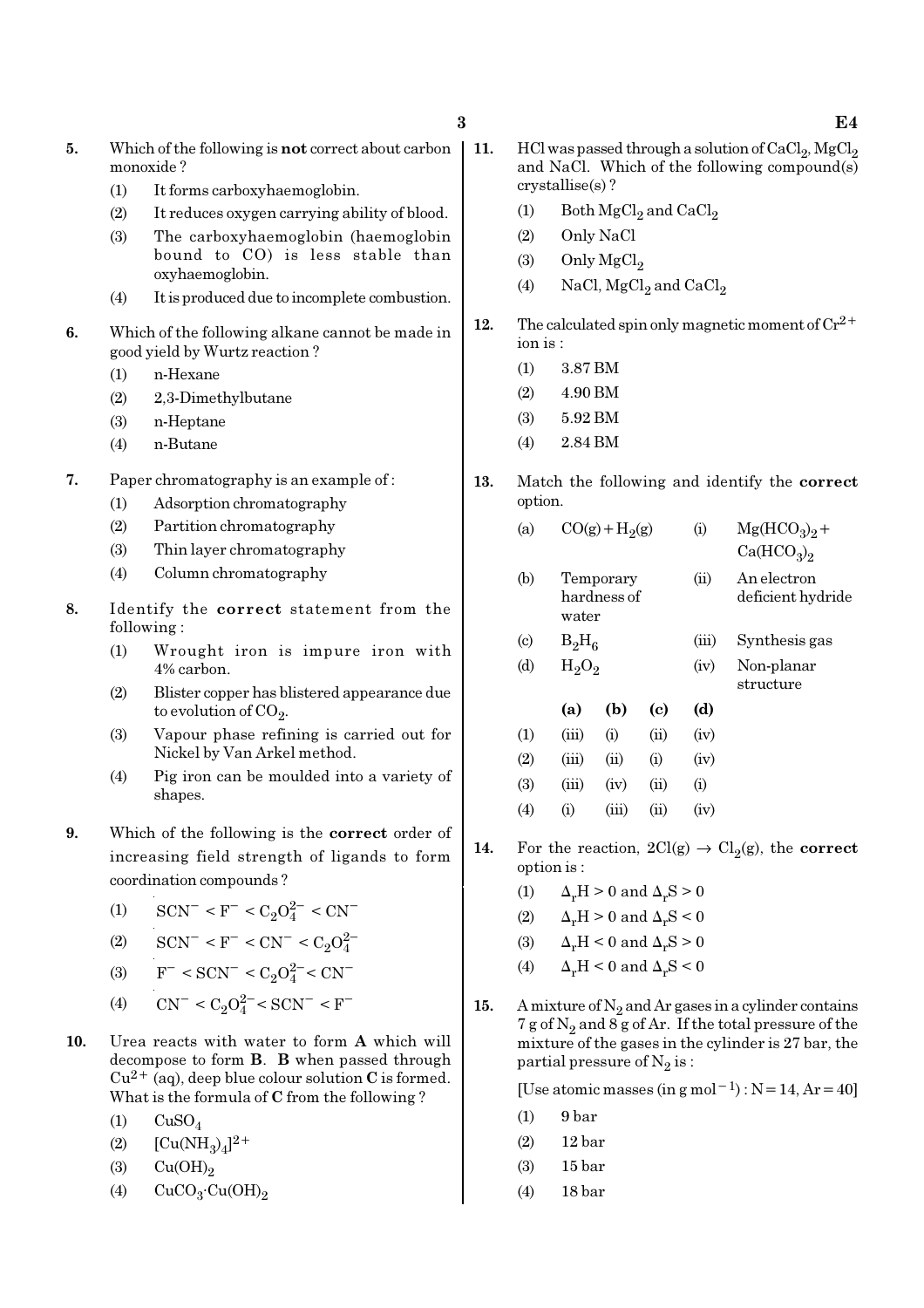- 5. Which of the following is not correct about carbon monoxide ?
	- (1) It forms carboxyhaemoglobin.
	- (2) It reduces oxygen carrying ability of blood.
	- (3) The carboxyhaemoglobin (haemoglobin bound to CO) is less stable than oxyhaemoglobin.
	- (4) It is produced due to incomplete combustion.
- 6. Which of the following alkane cannot be made in good yield by Wurtz reaction ?
	- (1) n-Hexane
	- (2) 2,3-Dimethylbutane
	- (3) n-Heptane
	- (4) n-Butane
- 7. Paper chromatography is an example of :
	- (1) Adsorption chromatography
	- (2) Partition chromatography
	- (3) Thin layer chromatography
	- (4) Column chromatography
- 8. Identify the correct statement from the following :
	- (1) Wrought iron is impure iron with 4% carbon.
	- (2) Blister copper has blistered appearance due to evolution of CO<sub>2</sub>.
	- (3) Vapour phase refining is carried out for Nickel by Van Arkel method.
	- (4) Pig iron can be moulded into a variety of shapes.
- 9. Which of the following is the correct order of increasing field strength of ligands to form coordination compounds ?
	- (1)  $\text{SCN}^-$  < F<sup>-</sup> < C<sub>2</sub>O<sub>4</sub><sup>2-</sup> < CN<sup>-</sup>
	- (2)  $\text{SCN}^- \leq F^- \leq \text{CN}^- \leq C_2 O_4^2$
	- (3)  $F^- < SCN^- < C_2O_4^{2-} < CN^-$
	- (4)  $CN^- < C_2O_4^{2-} < SCN^- < F^-$
- 10. Urea reacts with water to form A which will decompose to form B. B when passed through  $Cu^{2+}$  (aq), deep blue colour solution C is formed. What is the formula of C from the following ?
	- $(1)$  CuSO<sub>4</sub>
	- (2)  $[Cu(NH_3)_4]^{2+}$
	- (3)  $Cu(OH)<sub>2</sub>$
	- (4)  $CuCO<sub>3</sub>·Cu(OH)<sub>2</sub>$
- 11. HCl was passed through a solution of  $CaCl_2$ ,  $MgCl_2$ and NaCl. Which of the following compound(s) crystallise(s) ?
	- (1) Both  $\mathrm{MgCl}_2$  and  $\mathrm{CaCl}_2$
	- (2) Only NaCl
	- $(3)$  Only MgCl<sub>2</sub>
	- (4) NaCl,  $MgCl<sub>2</sub>$  and  $CaCl<sub>2</sub>$
- 12. The calculated spin only magnetic moment of  $Cr^{2+}$ ion is :
	- (1) 3.87 BM
	- (2) 4.90 BM
	- (3) 5.92 BM
	- (4) 2.84 BM
- 13. Match the following and identify the correct option.
	- (a)  $CO(g) + H<sub>2</sub>(g)$ (g) (i)  $Mg(HCO_3)_2 +$ 
		- $Ca(HCO<sub>3</sub>)<sub>2</sub>$
	- (b) Temporary (ii) An electron hardness of deficient hydride water
	- (c)  $B_2H_6$ (iii) Synthesis gas (d)  $H_2O_2$ (iv) Non-planar
		- structure

|     | (a)       | (b)   | (c)  | (d)  |
|-----|-----------|-------|------|------|
| (1) | (iii)     | (i)   | (ii) | (iv) |
| (2) | (iii)     | (ii)  | (i)  | (iv) |
| (3) | (iii)     | (iv)  | (ii) | (i)  |
| (4) | $\rm (i)$ | (iii) | (ii) | (iv) |

- 14. For the reaction,  $2Cl(g) \rightarrow Cl_2(g)$ , the correct option is :
	- (1)  $\Delta_r H > 0$  and  $\Delta_r S > 0$
	- (2)  $\Delta_r H > 0$  and  $\Delta_r S < 0$
	- (3)  $\Delta_r H \leq 0$  and  $\Delta_r S > 0$
	- (4)  $\Delta_r H < 0$  and  $\Delta_r S < 0$
- 15. A mixture of  $N_2$  and Ar gases in a cylinder contains 7 g of  $\mathrm{N}_2$  and 8 g of Ar. If the total pressure of the mixture of the gases in the cylinder is 27 bar, the partial pressure of  $\mathrm{N}_2 \, \mathrm{is}$  :

[Use atomic masses (in g mol<sup>-1</sup>) : N = 14, Ar = 40]

- $(1)$  9 bar
- (2) 12 bar
- (3) 15 bar
- (4) 18 bar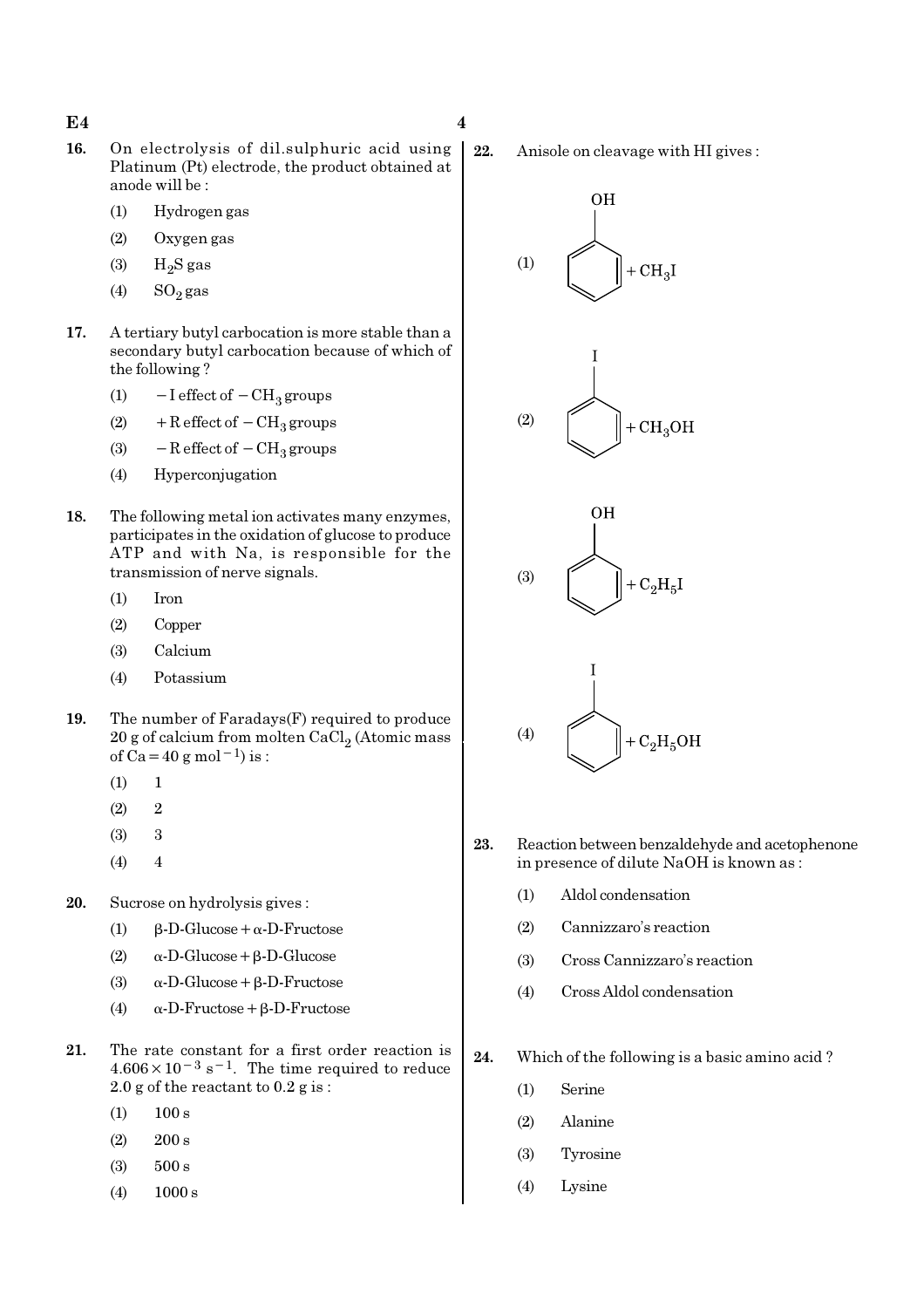- 16. On electrolysis of dil.sulphuric acid using Platinum (Pt) electrode, the product obtained at anode will be :
	- (1) Hydrogen gas
	- (2) Oxygen gas
	- $(3)$  H<sub>2</sub>S gas
	- (4)  $SO_2$  gas
- 17. A tertiary butyl carbocation is more stable than a secondary butyl carbocation because of which of the following ?
	- (1)  $-I$  effect of  $-CH<sub>3</sub>$  groups
	- (2) + R effect of  $-CH_3$  groups
	- (3)  $-$  R effect of  $-$  CH<sub>3</sub> groups
	- (4) Hyperconjugation
- 18. The following metal ion activates many enzymes, participates in the oxidation of glucose to produce ATP and with Na, is responsible for the transmission of nerve signals.
	- (1) Iron
	- (2) Copper
	- (3) Calcium
	- (4) Potassium
- 19. The number of Faradays(F) required to produce  $20$  g of calcium from molten CaCl $_2$  (Atomic mass of Ca=40 g mol<sup>-1</sup>) is :
	- $(1) 1$
	- $(2)$  2
	- (3) 3
	- $(4)$  4
- 20. Sucrose on hydrolysis gives :
	- (1) β-D-Glucose+α-D-Fructose
	- (2) α-D-Glucose+β-D-Glucose
	- (3)  $\alpha$ -D-Glucose + β-D-Fructose
	- (4) α-D-Fructose+β-D-Fructose
- 21. The rate constant for a first order reaction is  $4.606 \times 10^{-3}$  s<sup>-1</sup>. The time required to reduce 2.0 g of the reactant to  $0.2$  g is :
	- $(1)$  100 s
	- (2) 200 s
	- (3) 500 s
	- (4) 1000 s

22. Anisole on cleavage with HI gives :



- 23. Reaction between benzaldehyde and acetophenone in presence of dilute NaOH is known as :
	- (1) Aldol condensation
	- (2) Cannizzaro's reaction
	- (3) Cross Cannizzaro's reaction
	- (4) Cross Aldol condensation
- 24. Which of the following is a basic amino acid ?
	- (1) Serine
	- (2) Alanine
	- (3) Tyrosine
	- (4) Lysine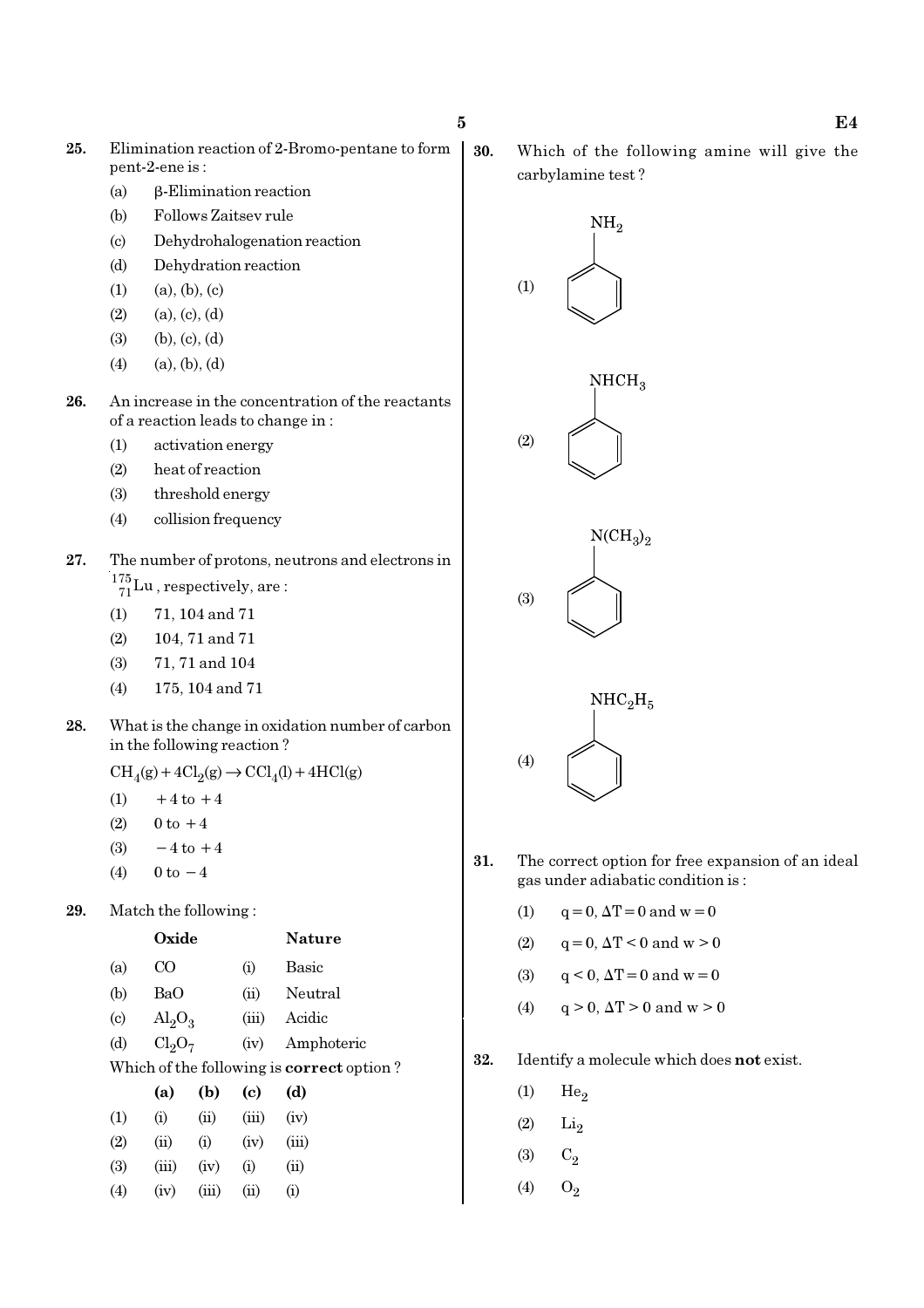- 25. Elimination reaction of 2-Bromo-pentane to form pent-2-ene is :
	- (a) β-Elimination reaction
	- (b) Follows Zaitsev rule
	- (c) Dehydrohalogenation reaction
	- (d) Dehydration reaction
	- $(1)$   $(a), (b), (c)$
	- $(2)$   $(a), (c), (d)$
	- $(3)$   $(b), (c), (d)$
	- $(4)$   $(a), (b), (d)$
- 26. An increase in the concentration of the reactants of a reaction leads to change in :
	- (1) activation energy
	- (2) heat of reaction
	- (3) threshold energy
	- (4) collision frequency
- 27. The number of protons, neutrons and electrons in  $^{175}_{71}$ Lu, respectively, are:
	- (1) 71, 104 and 71
	- (2) 104, 71 and 71
	- (3) 71, 71 and 104
	- (4) 175, 104 and 71
- 28. What is the change in oxidation number of carbon in the following reaction ?

 $\text{CH}_4(g) + 4\text{Cl}_2(g) \rightarrow \text{CCl}_4(l) + 4\text{HCl}(g)$ 

- (1)  $+4$  to  $+4$
- (2)  $0 \text{ to } +4$
- (3)  $-4$  to  $+4$
- (4)  $0 \text{ to } -4$
- 29. Match the following :

|                            | Oxide                   |                                |       | Nature                                           |
|----------------------------|-------------------------|--------------------------------|-------|--------------------------------------------------|
| (a)                        | CΟ                      |                                | (i)   | <b>Basic</b>                                     |
| (b)                        | BaO                     |                                | (ii)  | Neutral                                          |
| $\left( \mathrm{c}\right)$ | $\text{Al}_2\text{O}_3$ |                                | (iii) | Acidic                                           |
| (d)                        |                         | Cl <sub>2</sub> O <sub>7</sub> |       | Amphoteric                                       |
|                            |                         |                                |       | Which of the following is <b>correct</b> option? |
|                            | (a)                     | (b)                            | (c)   | (d)                                              |
| (1)                        | (i)                     | (ii)                           | (iii) | (iv)                                             |
| (2)                        | (ii)                    | (i)                            | (iv)  | (iii)                                            |
| (3)                        | (iii)                   | (iv)                           | (i)   | (ii)                                             |
| (4)                        | (iv)                    | (iii)                          | (ii)  | $\rm \textbf{(i)}$                               |

30. Which of the following amine will give the carbylamine test ?



- 31. The correct option for free expansion of an ideal gas under adiabatic condition is :
	- (1)  $q = 0, \Delta T = 0$  and  $w = 0$
	- (2)  $q = 0, \Delta T < 0$  and  $w > 0$
	- (3)  $q < 0$ ,  $\Delta T = 0$  and  $w = 0$
	- (4)  $q > 0$ ,  $\Delta T > 0$  and  $w > 0$
- 32. Identify a molecule which does not exist.
	- $(1)$  He<sub>2</sub>
	- $(2)$  Li<sub>2</sub>
	- (3)  $C_2$
	- (4)  $O_2$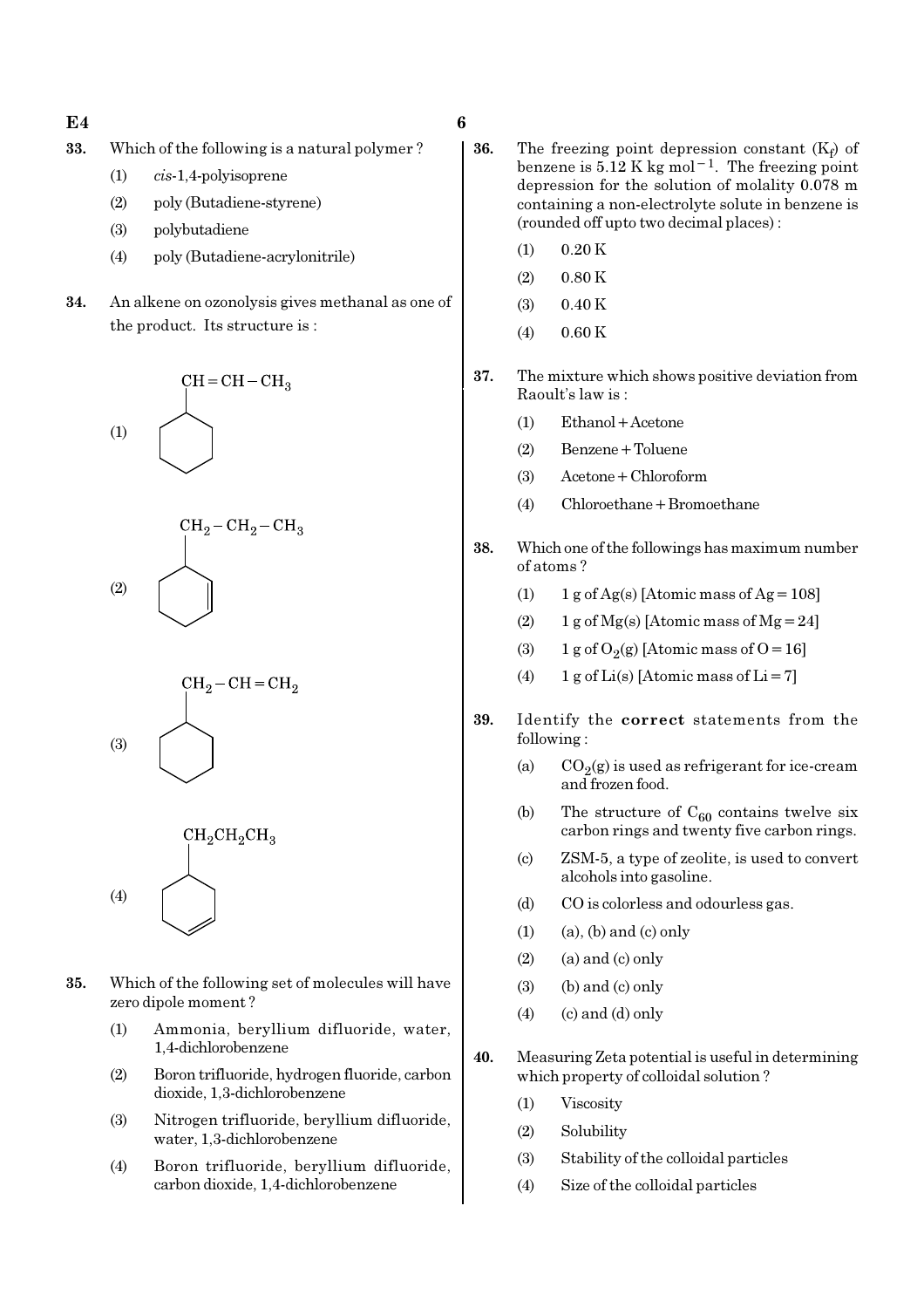- $E4$  6
- 33. Which of the following is a natural polymer ?
	- (1) cis-1,4-polyisoprene
	- (2) poly (Butadiene-styrene)
	- (3) polybutadiene
	- (4) poly (Butadiene-acrylonitrile)
- 34. An alkene on ozonolysis gives methanal as one of the product. Its structure is :









- 35. Which of the following set of molecules will have zero dipole moment ?
	- (1) Ammonia, beryllium difluoride, water, 1,4-dichlorobenzene
	- (2) Boron trifluoride, hydrogen fluoride, carbon dioxide, 1,3-dichlorobenzene
	- (3) Nitrogen trifluoride, beryllium difluoride, water, 1,3-dichlorobenzene
	- (4) Boron trifluoride, beryllium difluoride, carbon dioxide, 1,4-dichlorobenzene
- **36.** The freezing point depression constant  $(K_f)$  of benzene is  $5.12$  K kg mol<sup>-1</sup>. The freezing point depression for the solution of molality 0.078 m containing a non-electrolyte solute in benzene is (rounded off upto two decimal places) :
	- $(1)$  0.20 K
	- $(2)$  0.80 K
	- $(3)$  0.40 K
	- $(4)$  0.60 K
- 37. The mixture which shows positive deviation from Raoult's law is :
	- (1) Ethanol+Acetone
	- (2) Benzene+Toluene
	- (3) Acetone+Chloroform
	- $(4)$  Chloroethane + Bromoethane
- 38. Which one of the followings has maximum number of atoms ?
	- (1)  $1 g \text{ of } Ag(s)$  [Atomic mass of Ag = 108]
	- (2) 1 g of  $Mg(s)$  [Atomic mass of  $Mg = 24$ ]
	- (3) 1 g of  $O_2(g)$  [Atomic mass of O = 16]
	- (4) 1 g of Li(s) [Atomic mass of Li = 7]
- 39. Identify the correct statements from the following :
	- (a)  $CO_2(g)$  is used as refrigerant for ice-cream and frozen food.
	- (b) The structure of  $C_{60}$  contains twelve six carbon rings and twenty five carbon rings.
	- (c) ZSM-5, a type of zeolite, is used to convert alcohols into gasoline.
	- (d) CO is colorless and odourless gas.
	- $(1)$   $(a)$ ,  $(b)$  and  $(c)$  only
	- $(2)$  (a) and (c) only
	- $(3)$  (b) and  $(c)$  only
	- $(4)$  (c) and (d) only
- 40. Measuring Zeta potential is useful in determining which property of colloidal solution ?
	- (1) Viscosity
	- (2) Solubility
	- (3) Stability of the colloidal particles
	- (4) Size of the colloidal particles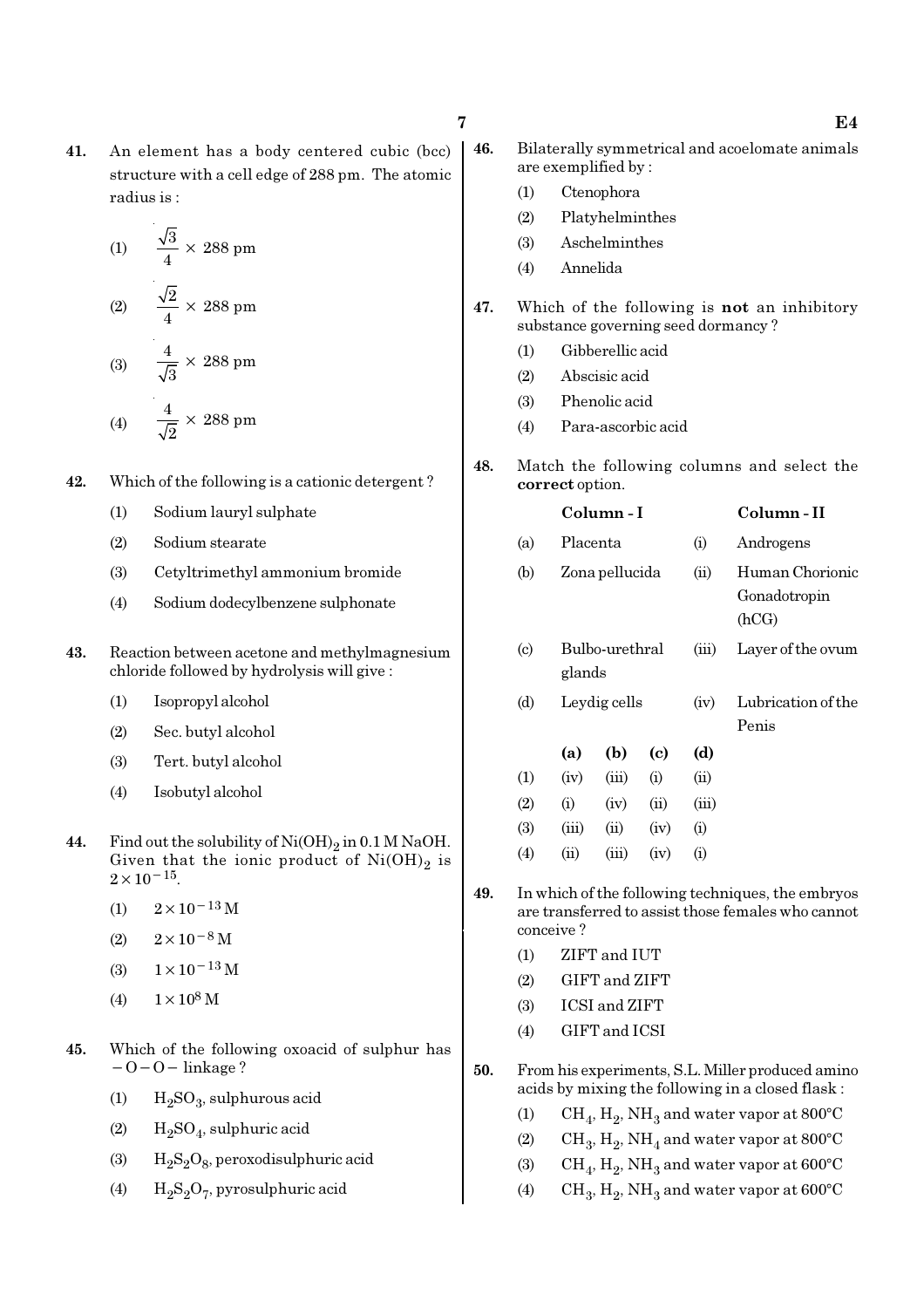41. An element has a body centered cubic (bcc) structure with a cell edge of 288 pm. The atomic radius is :

(1) 
$$
\frac{\sqrt{3}}{4} \times 288 \text{ pm}
$$
  
(2) 
$$
\frac{\sqrt{2}}{4} \times 288 \text{ pm}
$$
  
(3) 
$$
\frac{4}{\sqrt{3}} \times 288 \text{ pm}
$$
  
(4) 
$$
\frac{4}{\sqrt{2}} \times 288 \text{ pm}
$$

- 42. Which of the following is a cationic detergent ?
	- (1) Sodium lauryl sulphate
	- (2) Sodium stearate
	- (3) Cetyltrimethyl ammonium bromide
	- (4) Sodium dodecylbenzene sulphonate
- 43. Reaction between acetone and methylmagnesium chloride followed by hydrolysis will give :
	- (1) Isopropyl alcohol
	- (2) Sec. butyl alcohol
	- (3) Tert. butyl alcohol
	- (4) Isobutyl alcohol
- **44.** Find out the solubility of  $\text{Ni}(\text{OH})_2$  in 0.1 M NaOH. Given that the ionic product of  $\mathrm{Ni(OH)}_{2}$  is  $2 \times 10^{-15}$ .
	- (1)  $2 \times 10^{-13}$  M
	- $(2)$  2×10<sup>-8</sup> M
	- (3)  $1 \times 10^{-13}$  M
	- (4)  $1 \times 10^8$  M
- 45. Which of the following oxoacid of sulphur has  $-O-O-$  linkage ?
	- (1)  $H_2SO_3$ , sulphurous acid
	- (2)  $H_2SO_4$ , sulphuric acid
	- (3)  $H_2S_2O_8$ , peroxodisulphuric acid
	- (4)  $H_2S_2O_7$ , pyrosulphuric acid
- 46. Bilaterally symmetrical and acoelomate animals are exemplified by :
	- (1) Ctenophora
	- (2) Platyhelminthes
	- (3) Aschelminthes
	- (4) Annelida
- 47. Which of the following is not an inhibitory substance governing seed dormancy ?
	- (1) Gibberellic acid
	- (2) Abscisic acid
	- (3) Phenolic acid
	- (4) Para-ascorbic acid
- 48. Match the following columns and select the correct option.

|                             |          | Column - I               |      |       | Column - II                              |
|-----------------------------|----------|--------------------------|------|-------|------------------------------------------|
| (a)                         | Placenta |                          |      | (i)   | Androgens                                |
| (b)                         |          | Zona pellucida           |      |       | Human Chorionic<br>Gonadotropin<br>(hCG) |
| $\left( \mathrm{c} \right)$ |          | Bulbo-urethral<br>glands |      |       | Layer of the ovum                        |
| (d)                         |          | Leydig cells             |      | (iv)  | Lubrication of the<br>Penis              |
|                             | (a)      | (b)                      | (c)  | (d)   |                                          |
| (1)                         | (iv)     | (iii)                    | (i)  | (ii)  |                                          |
| (2)                         | (i)      | (iv)                     | (ii) | (iii) |                                          |
| (3)                         | (iii)    | (ii)                     | (iv) | (i)   |                                          |

- 49. In which of the following techniques, the embryos are transferred to assist those females who cannot conceive ?
	- (1) ZIFT and IUT

 $(4)$   $(ii)$   $(iii)$   $(iv)$   $(i)$ 

- (2) GIFT and ZIFT
- (3) ICSI and ZIFT
- (4) GIFT and ICSI
- 50. From his experiments, S.L. Miller produced amino acids by mixing the following in a closed flask :
	- (1)  $\mathrm{CH}_4, \mathrm{H}_2, \mathrm{NH}_3$  and water vapor at 800°C
	- (2)  $\rm CH_3, H_2, NH_4$  and water vapor at 800°C
	- (3)  $\mathrm{CH}_4, \mathrm{H}_2, \mathrm{NH}_3$  and water vapor at 600°C
	- (4) CH<sub>3</sub>, H<sub>2</sub>, NH<sub>3</sub> and water vapor at 600°C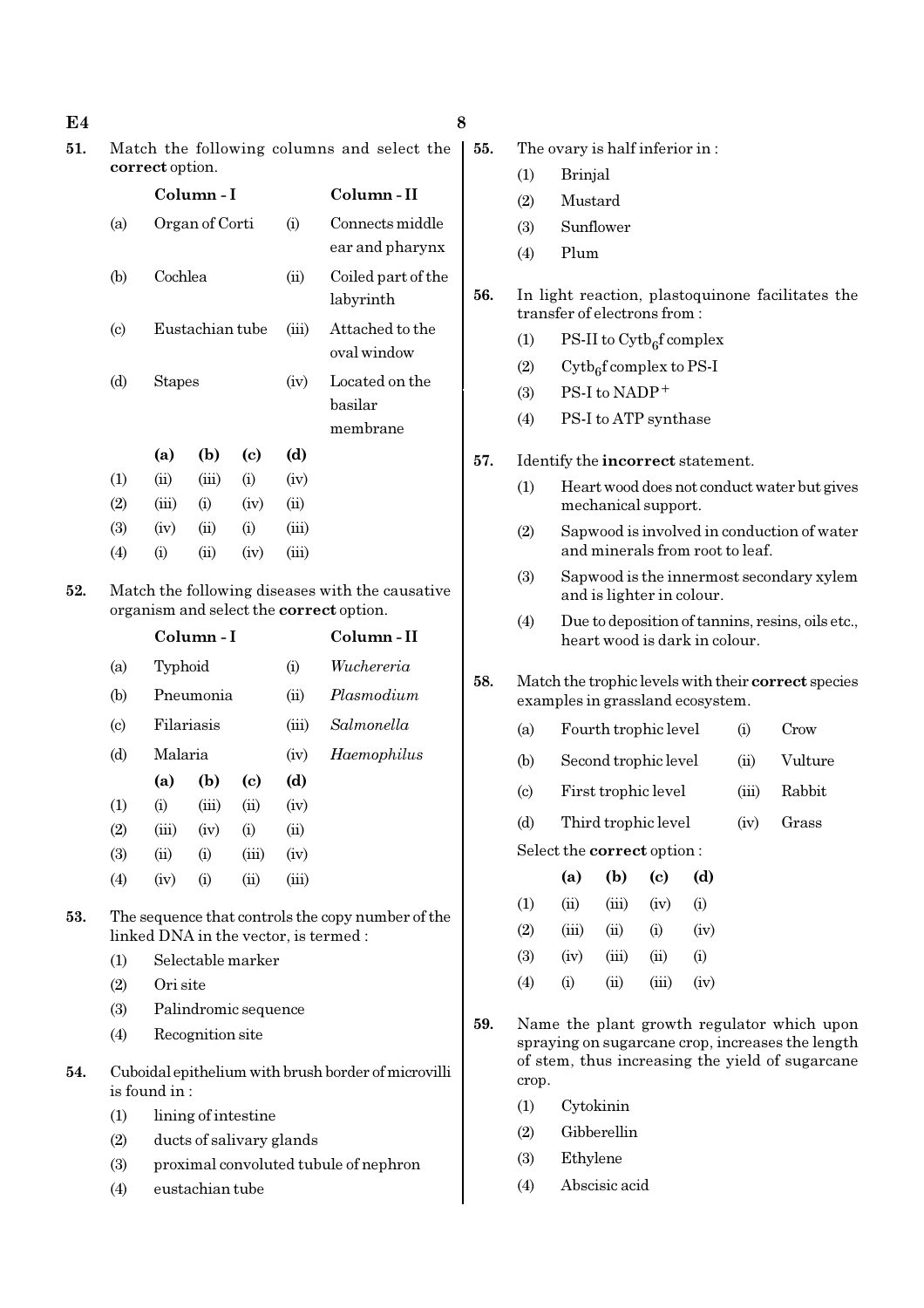| E4  |                                                               |                                                     |                              |                                    |             |                                                                       | 8                                                                                 |                                                     |                             |                                      |                            |      |                                 |                                                  |
|-----|---------------------------------------------------------------|-----------------------------------------------------|------------------------------|------------------------------------|-------------|-----------------------------------------------------------------------|-----------------------------------------------------------------------------------|-----------------------------------------------------|-----------------------------|--------------------------------------|----------------------------|------|---------------------------------|--------------------------------------------------|
| 51. | Match the following columns and select the<br>correct option. |                                                     |                              |                                    |             |                                                                       | 55.                                                                               |                                                     |                             | The ovary is half inferior in:       |                            |      |                                 |                                                  |
|     |                                                               |                                                     |                              |                                    |             |                                                                       |                                                                                   | (1)                                                 | <b>Brinjal</b>              |                                      |                            |      |                                 |                                                  |
|     |                                                               |                                                     | Column-I                     |                                    |             | Column-II                                                             |                                                                                   | (2)                                                 | Mustard                     |                                      |                            |      |                                 |                                                  |
|     | (a)                                                           |                                                     | Organ of Corti               |                                    | (i)         | Connects middle                                                       |                                                                                   | (3)                                                 |                             | Sunflower                            |                            |      |                                 |                                                  |
|     |                                                               |                                                     |                              |                                    |             | ear and pharynx                                                       |                                                                                   | (4)                                                 | Plum                        |                                      |                            |      |                                 |                                                  |
|     | (b)                                                           | Cochlea                                             |                              |                                    | (ii)        | Coiled part of the                                                    | 56.                                                                               |                                                     |                             |                                      |                            |      |                                 | In light reaction, plastoquinone facilitates the |
|     |                                                               |                                                     |                              |                                    |             | labyrinth                                                             |                                                                                   |                                                     |                             | transfer of electrons from:          |                            |      |                                 |                                                  |
|     | $\left( \mathrm{c}\right)$                                    |                                                     | Eustachian tube              |                                    | (iii)       | Attached to the<br>oval window                                        |                                                                                   | (1)                                                 |                             | PS-II to $\mathrm{Cytb}_6$ f complex |                            |      |                                 |                                                  |
|     | (d)                                                           | <b>Stapes</b>                                       |                              |                                    | (iv)        | Located on the                                                        |                                                                                   | (2)                                                 |                             | $Cytb6f complex to PS-I$             |                            |      |                                 |                                                  |
|     |                                                               |                                                     |                              |                                    |             | basilar                                                               |                                                                                   | (3)                                                 |                             | PS-I to NADP+                        |                            |      |                                 |                                                  |
|     |                                                               |                                                     |                              |                                    |             | membrane                                                              |                                                                                   | (4)                                                 |                             | PS-I to ATP synthase                 |                            |      |                                 |                                                  |
|     |                                                               | (a)                                                 | (b)                          | $\left( \mathbf{c} \right)$        | (d)         |                                                                       | 57.                                                                               |                                                     |                             | Identify the incorrect statement.    |                            |      |                                 |                                                  |
|     | (1)                                                           | (ii)                                                | (iii)                        | (i)                                | (iv)        |                                                                       |                                                                                   | (1)                                                 |                             |                                      |                            |      |                                 | Heart wood does not conduct water but gives      |
|     | (2)                                                           | (iii)                                               | (i)                          | (iv)                               | (ii)        |                                                                       |                                                                                   |                                                     |                             | mechanical support.                  |                            |      |                                 |                                                  |
|     | (3)                                                           | (iv)                                                | (ii)                         | (i)                                | (iii)       |                                                                       |                                                                                   | (2)                                                 |                             |                                      |                            |      | and minerals from root to leaf. | Sapwood is involved in conduction of water       |
|     | (4)                                                           | (i)                                                 | (ii)                         | (iv)                               | (iii)       |                                                                       |                                                                                   | (3)                                                 |                             |                                      |                            |      |                                 |                                                  |
| 52. | Match the following diseases with the causative               |                                                     |                              |                                    |             | Sapwood is the innermost secondary xylem<br>and is lighter in colour. |                                                                                   |                                                     |                             |                                      |                            |      |                                 |                                                  |
|     |                                                               | organism and select the correct option.<br>Column-I |                              |                                    |             | (4)                                                                   | Due to deposition of tannins, resins, oils etc.,<br>heart wood is dark in colour. |                                                     |                             |                                      |                            |      |                                 |                                                  |
|     |                                                               |                                                     |                              |                                    |             | Column-II                                                             |                                                                                   |                                                     |                             |                                      |                            |      |                                 |                                                  |
|     | (a)                                                           |                                                     | Wuchereria<br>Typhoid<br>(i) |                                    |             | 58.                                                                   |                                                                                   | Match the trophic levels with their correct species |                             |                                      |                            |      |                                 |                                                  |
|     | (b)                                                           |                                                     | Pneumonia                    |                                    | (ii)        | Plasmodium                                                            |                                                                                   |                                                     |                             | examples in grassland ecosystem.     |                            |      |                                 |                                                  |
|     | $\left( \mathrm{c}\right)$                                    |                                                     | Filariasis                   |                                    | (iii)       | Salmonella                                                            |                                                                                   | (a)                                                 | Fourth trophic level<br>(i) |                                      |                            | Crow |                                 |                                                  |
|     | (d)                                                           | Malaria                                             |                              |                                    | (iv)        | Haemophilus                                                           |                                                                                   | (b)                                                 |                             | Second trophic level                 |                            |      | (ii)                            | Vulture                                          |
|     | (1)                                                           | (a)<br>(i)                                          | (b)<br>(iii)                 | $\left( \mathrm{c}\right)$<br>(ii) | (d)<br>(iv) |                                                                       |                                                                                   | $\left( \text{c} \right)$                           |                             | First trophic level                  |                            |      | (iii)                           | Rabbit                                           |
|     | (2)                                                           | (iii)                                               | (iv)                         | (i)                                | (ii)        |                                                                       |                                                                                   | (d)                                                 |                             | Third trophic level                  |                            |      | (iv)                            | Grass                                            |
|     | (3)                                                           | (ii)                                                | (i)                          | (iii)                              | (iv)        |                                                                       |                                                                                   |                                                     |                             | Select the correct option:           |                            |      |                                 |                                                  |
|     | (4)                                                           | (iv)                                                | (i)                          | (ii)                               | (iii)       |                                                                       |                                                                                   |                                                     | (a)                         | (b)                                  | $\left( \mathrm{c}\right)$ | (d)  |                                 |                                                  |
| 53. |                                                               |                                                     |                              |                                    |             | The sequence that controls the copy number of the                     |                                                                                   | (1)                                                 | (ii)                        | (iii)                                | (iv)                       | (i)  |                                 |                                                  |
|     |                                                               |                                                     |                              |                                    |             | linked DNA in the vector, is termed :                                 |                                                                                   | (2)                                                 | (iii)                       | (ii)                                 | (i)                        | (iv) |                                 |                                                  |
|     | (1)                                                           |                                                     |                              | Selectable marker                  |             |                                                                       |                                                                                   | (3)                                                 | (iv)                        | (iii)                                | (ii)                       | (i)  |                                 |                                                  |
|     | (2)                                                           | Ori site                                            |                              |                                    |             |                                                                       |                                                                                   | (4)                                                 | (i)                         | (ii)                                 | (iii)                      | (iv) |                                 |                                                  |
|     | (3)                                                           |                                                     |                              | Palindromic sequence               |             |                                                                       | 59.                                                                               |                                                     |                             |                                      |                            |      |                                 | Name the plant growth regulator which upon       |
|     | (4)                                                           |                                                     | Recognition site             |                                    |             |                                                                       |                                                                                   |                                                     |                             |                                      |                            |      |                                 | spraying on sugarcane crop, increases the length |
| 54. |                                                               | is found in:                                        |                              |                                    |             | Cuboidal epithelium with brush border of microvilli                   |                                                                                   | crop.                                               |                             |                                      |                            |      |                                 | of stem, thus increasing the yield of sugarcane  |
|     | (1)                                                           |                                                     |                              | lining of intestine                |             |                                                                       |                                                                                   | (1)                                                 |                             | Cytokinin                            |                            |      |                                 |                                                  |
|     | (2)                                                           |                                                     |                              | ducts of salivary glands           |             |                                                                       |                                                                                   | (2)                                                 |                             | Gibberellin                          |                            |      |                                 |                                                  |
|     | (3)                                                           |                                                     |                              |                                    |             | proximal convoluted tubule of nephron                                 |                                                                                   | (3)                                                 | Ethylene                    |                                      |                            |      |                                 |                                                  |
|     | (4)                                                           |                                                     | eustachian tube              |                                    |             |                                                                       |                                                                                   | (4)                                                 |                             | Abscisic acid                        |                            |      |                                 |                                                  |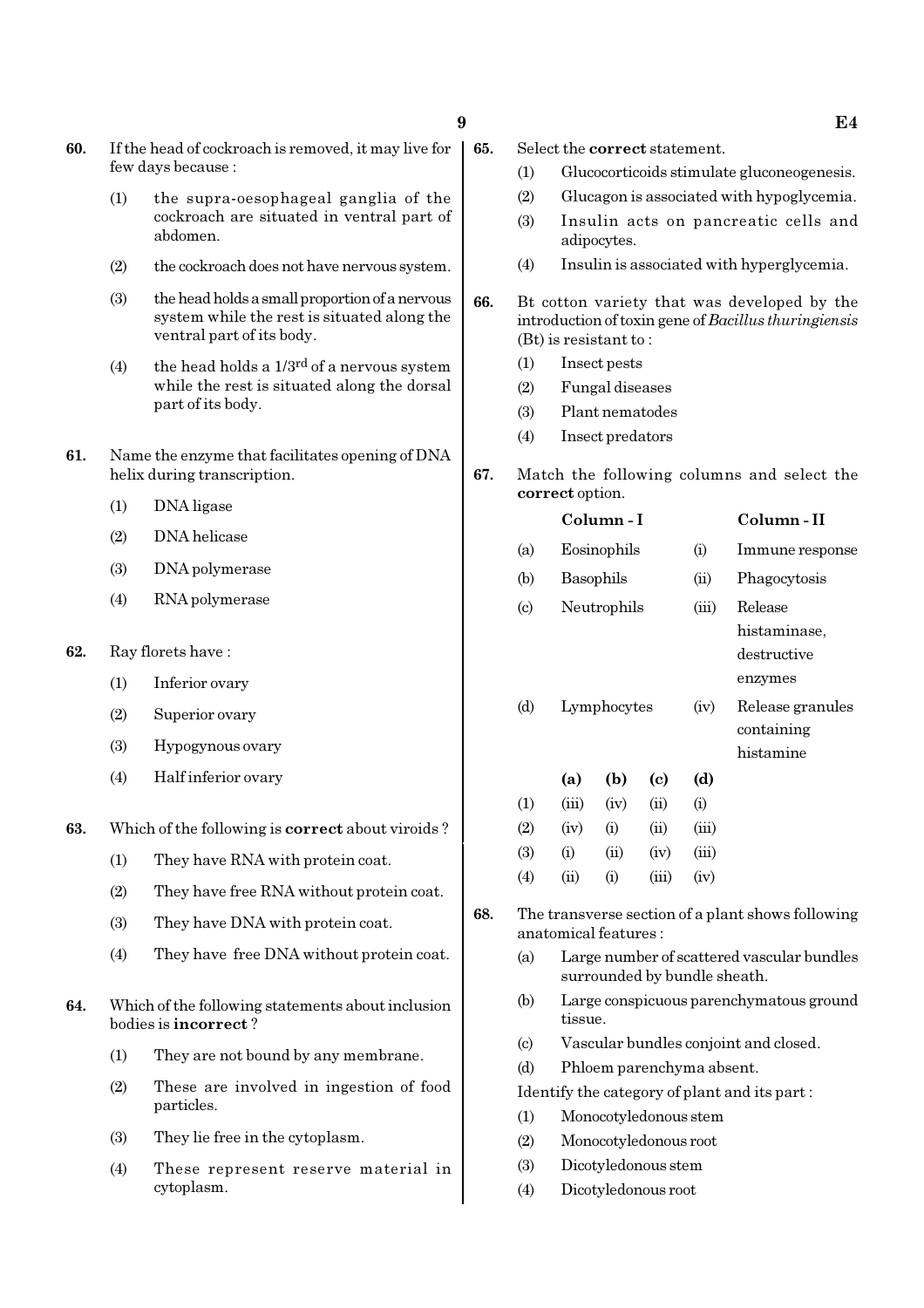- 60. If the head of cockroach is removed, it may live for few days because :
	- (1) the supra-oesophageal ganglia of the cockroach are situated in ventral part of abdomen.
	- (2) the cockroach does not have nervous system.
	- (3) the head holds a small proportion of a nervous system while the rest is situated along the ventral part of its body.
	- (4) the head holds a  $1/3^{rd}$  of a nervous system while the rest is situated along the dorsal part of its body.
- 61. Name the enzyme that facilitates opening of DNA helix during transcription.
	- (1) DNA ligase
	- (2) DNA helicase
	- (3) DNA polymerase
	- (4) RNA polymerase
- 62. Ray florets have :
	- (1) Inferior ovary
	- (2) Superior ovary
	- (3) Hypogynous ovary
	- (4) Half inferior ovary
- 63. Which of the following is correct about viroids ?
	- (1) They have RNA with protein coat.
	- (2) They have free RNA without protein coat.
	- (3) They have DNA with protein coat.
	- (4) They have free DNA without protein coat.
- 64. Which of the following statements about inclusion bodies is incorrect ?
	- (1) They are not bound by any membrane.
	- (2) These are involved in ingestion of food particles.
	- (3) They lie free in the cytoplasm.
	- (4) These represent reserve material in cytoplasm.
- 65. Select the correct statement.
	- (1) Glucocorticoids stimulate gluconeogenesis.
	- (2) Glucagon is associated with hypoglycemia.
	- (3) Insulin acts on pancreatic cells and adipocytes.
	- (4) Insulin is associated with hyperglycemia.
- 66. Bt cotton variety that was developed by the introduction of toxin gene of Bacillus thuringiensis (Bt) is resistant to :
	- (1) Insect pests
	- (2) Fungal diseases
	- (3) Plant nematodes
	- (4) Insect predators
- 67. Match the following columns and select the correct option.

|                            |       | Column - I  |       | Column-II |                                                   |
|----------------------------|-------|-------------|-------|-----------|---------------------------------------------------|
| (a)                        |       | Eosinophils |       | (i)       | Immune response                                   |
| (b)                        |       | Basophils   |       | (ii)      | Phagocytosis                                      |
| $\left( \mathrm{c}\right)$ |       | Neutrophils |       |           | Release<br>histaminase,<br>destructive<br>enzymes |
| (d)                        |       | Lymphocytes |       | (iv)      | Release granules<br>containing<br>histamine       |
|                            | (a)   | (b)         | (c)   | (d)       |                                                   |
| (1)                        | (iii) | (iv)        | (ii)  | (i)       |                                                   |
| (2)                        | (iv)  | (i)         | (ii)  | (iii)     |                                                   |
| (3)                        | (i)   | (ii)        | (iv)  | (iii)     |                                                   |
| $\left( 4\right)$          | (ii)  | (i)         | (iii) | (iv)      |                                                   |

- 68. The transverse section of a plant shows following anatomical features :
	- (a) Large number of scattered vascular bundles surrounded by bundle sheath.
	- (b) Large conspicuous parenchymatous ground tissue.
	- (c) Vascular bundles conjoint and closed.
	- (d) Phloem parenchyma absent.
	- Identify the category of plant and its part :
	- (1) Monocotyledonous stem
	- (2) Monocotyledonous root
	- (3) Dicotyledonous stem
	- (4) Dicotyledonous root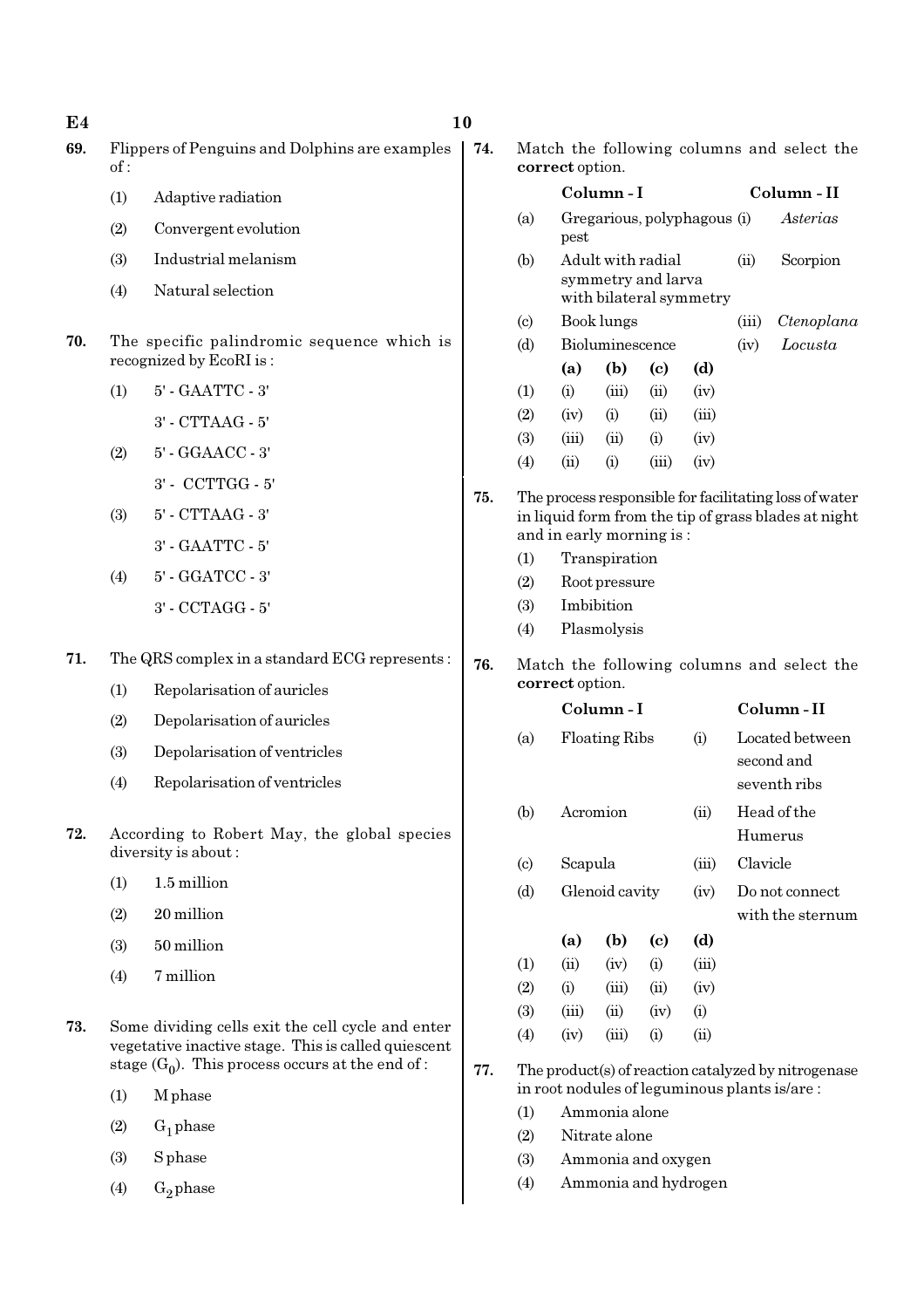| E4  |     |                                                                                                          | 10  |                                                               |                                     |                          |                            |                         |              |                                                                                                                |
|-----|-----|----------------------------------------------------------------------------------------------------------|-----|---------------------------------------------------------------|-------------------------------------|--------------------------|----------------------------|-------------------------|--------------|----------------------------------------------------------------------------------------------------------------|
| 69. | of: | Flippers of Penguins and Dolphins are examples                                                           | 74. | Match the following columns and select the<br>correct option. |                                     |                          |                            |                         |              |                                                                                                                |
|     | (1) | Adaptive radiation                                                                                       |     |                                                               |                                     | Column-I                 |                            |                         |              | Column - II                                                                                                    |
|     | (2) | Convergent evolution                                                                                     |     | (a)                                                           | Gregarious, polyphagous (i)<br>pest |                          |                            |                         |              | Asterias                                                                                                       |
|     | (3) | Industrial melanism                                                                                      |     | (b)                                                           |                                     | Adult with radial        |                            |                         | (ii)         | Scorpion                                                                                                       |
|     | (4) | Natural selection                                                                                        |     |                                                               |                                     | symmetry and larva       |                            | with bilateral symmetry |              |                                                                                                                |
|     |     |                                                                                                          |     | $\left( \mathrm{c}\right)$                                    |                                     | Book lungs               |                            |                         | (iii)        | Ctenoplana                                                                                                     |
| 70. |     | The specific palindromic sequence which is<br>recognized by EcoRI is:                                    |     | (d)                                                           | (a)                                 | Bioluminescence<br>(b)   | $\left( \mathrm{c}\right)$ | (d)                     | (iv)         | Locusta                                                                                                        |
|     | (1) | 5' - GAATTC - 3'                                                                                         |     | (1)                                                           | (i)                                 | (iii)                    | (ii)                       | (iv)                    |              |                                                                                                                |
|     |     | 3' - CTTAAG - 5'                                                                                         |     | (2)                                                           | (iv)                                | (i)                      | (ii)                       | (iii)                   |              |                                                                                                                |
|     | (2) | 5' - GGAACC - 3'                                                                                         |     | (3)                                                           | (iii)                               | (ii)                     | (i)                        | (iv)                    |              |                                                                                                                |
|     |     | 3' - CCTTGG - 5'                                                                                         |     | (4)                                                           | (ii)                                | (i)                      | (iii)                      | (iv)                    |              |                                                                                                                |
|     | (3) | 5' - CTTAAG - 3'                                                                                         | 75. |                                                               |                                     |                          |                            |                         |              | The process responsible for facilitating loss of water<br>in liquid form from the tip of grass blades at night |
|     |     | 3' - GAATTC - 5'                                                                                         |     |                                                               |                                     | and in early morning is: |                            |                         |              |                                                                                                                |
|     |     |                                                                                                          |     | (1)                                                           |                                     | Transpiration            |                            |                         |              |                                                                                                                |
|     | (4) | 5' - GGATCC - 3'                                                                                         |     | (2)                                                           | Root pressure<br>Imbibition         |                          |                            |                         |              |                                                                                                                |
|     |     | 3' - CCTAGG - 5'                                                                                         |     | (3)<br>(4)                                                    |                                     | Plasmolysis              |                            |                         |              |                                                                                                                |
| 71. |     | The QRS complex in a standard ECG represents:                                                            |     |                                                               |                                     |                          |                            |                         |              |                                                                                                                |
|     |     |                                                                                                          | 76. | Match the following columns and select the<br>correct option. |                                     |                          |                            |                         |              |                                                                                                                |
|     | (1) | Repolarisation of auricles                                                                               |     |                                                               |                                     | Column-I                 |                            |                         |              | Column-II                                                                                                      |
|     | (2) | Depolarisation of auricles                                                                               |     | (a)                                                           |                                     | Floating Ribs            |                            | (i)                     |              | Located between                                                                                                |
|     | (3) | Depolarisation of ventricles                                                                             |     |                                                               |                                     |                          |                            |                         |              | second and                                                                                                     |
|     | (4) | Repolarisation of ventricles                                                                             |     |                                                               |                                     |                          |                            |                         | seventh ribs |                                                                                                                |
| 72. |     | According to Robert May, the global species                                                              |     | (b)                                                           | Acromion                            |                          |                            | (ii)                    |              | Head of the<br>Humerus                                                                                         |
|     |     | diversity is about:                                                                                      |     | (c)                                                           | Scapula                             |                          |                            | (iii)                   | Clavicle     |                                                                                                                |
|     | (1) | 1.5 million                                                                                              |     | (d)                                                           |                                     | Glenoid cavity           |                            | (iv)                    |              | Do not connect                                                                                                 |
|     | (2) | 20 million                                                                                               |     |                                                               |                                     |                          |                            |                         |              | with the sternum                                                                                               |
|     | (3) | 50 million                                                                                               |     |                                                               | (a)                                 | (b)                      | $\left( \mathrm{c}\right)$ | (d)                     |              |                                                                                                                |
|     | (4) | 7 million                                                                                                |     | (1)<br>(2)                                                    | (ii)<br>(i)                         | (iv)<br>(iii)            | (i)<br>(ii)                | (iii)<br>(iv)           |              |                                                                                                                |
|     |     |                                                                                                          |     | (3)                                                           | (iii)                               | (ii)                     | (iv)                       | (i)                     |              |                                                                                                                |
| 73. |     | Some dividing cells exit the cell cycle and enter<br>vegetative inactive stage. This is called quiescent |     | (4)                                                           | (iii)<br>(i)<br>(ii)<br>(iv)        |                          |                            |                         |              |                                                                                                                |
|     |     | stage $(G_0)$ . This process occurs at the end of :                                                      | 77. |                                                               |                                     |                          |                            |                         |              | The product(s) of reaction catalyzed by nitrogenase<br>in root nodules of leguminous plants is/are:            |
|     | (1) | M phase                                                                                                  |     | (1)                                                           |                                     | Ammonia alone            |                            |                         |              |                                                                                                                |
|     | (2) | $G_1$ phase                                                                                              |     | (2)                                                           |                                     | Nitrate alone            |                            |                         |              |                                                                                                                |
|     | (3) | <b>S</b> phase                                                                                           |     | (3)                                                           |                                     | Ammonia and oxygen       |                            |                         |              |                                                                                                                |
|     | (4) | $G_2$ phase                                                                                              |     | (4)                                                           |                                     |                          |                            | Ammonia and hydrogen    |              |                                                                                                                |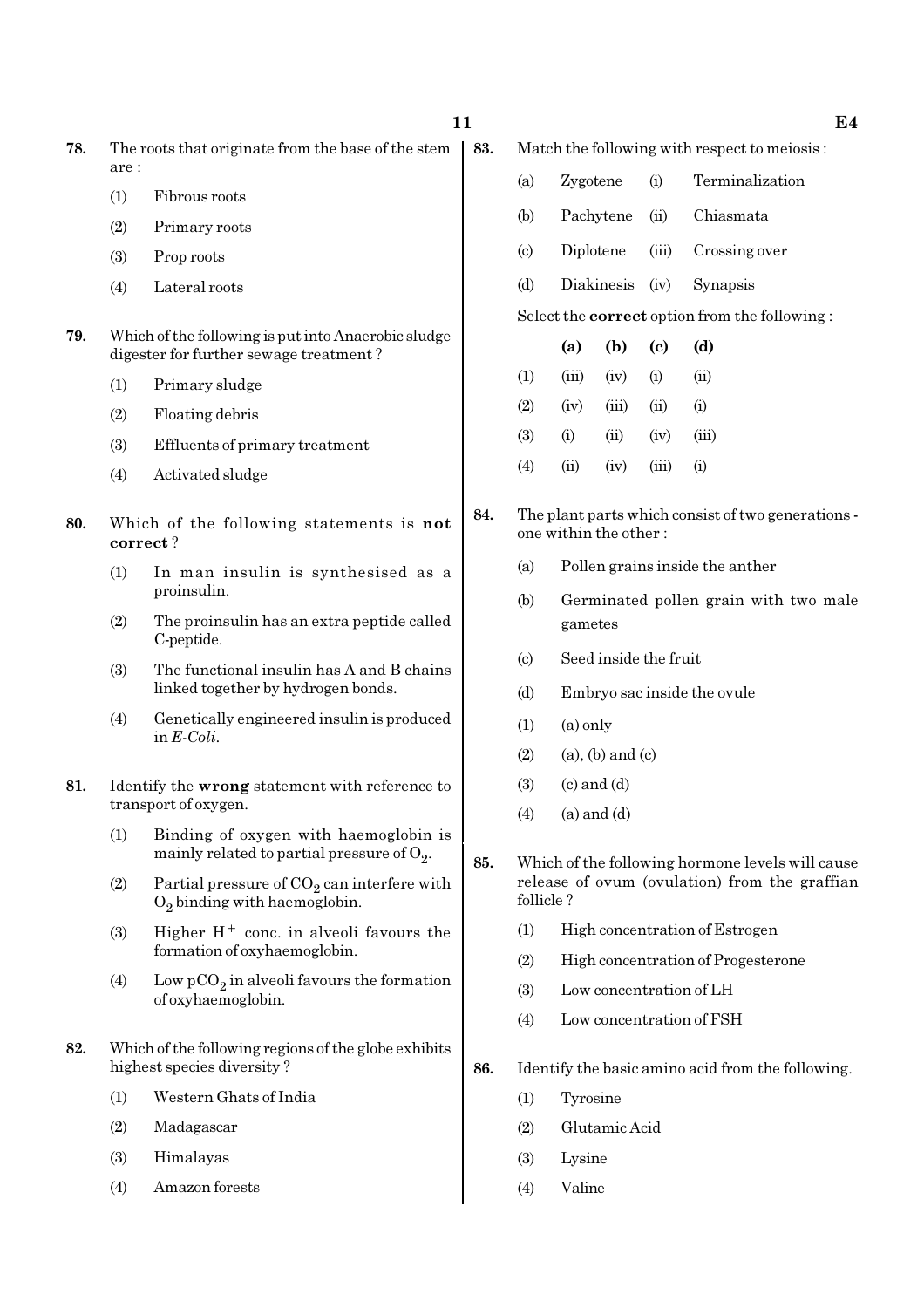- (1) Fibrous roots
- (2) Primary roots
- (3) Prop roots
- (4) Lateral roots
- 79. Which of the following is put into Anaerobic sludge digester for further sewage treatment ?
	- (1) Primary sludge
	- (2) Floating debris
	- (3) Effluents of primary treatment
	- (4) Activated sludge
- 80. Which of the following statements is not correct ?
	- (1) In man insulin is synthesised as a proinsulin.
	- (2) The proinsulin has an extra peptide called C-peptide.
	- (3) The functional insulin has A and B chains linked together by hydrogen bonds.
	- (4) Genetically engineered insulin is produced in E-Coli.
- 81. Identify the wrong statement with reference to transport of oxygen.
	- (1) Binding of oxygen with haemoglobin is mainly related to partial pressure of  $\mathrm{O}_2.$
	- (2) Partial pressure of  $CO_2$  can interfere with  $O_2$  binding with haemoglobin.
	- (3) Higher  $H^+$  conc. in alveoli favours the formation of oxyhaemoglobin.
	- (4) Low  $pCO_2$  in alveoli favours the formation of oxyhaemoglobin.
- 82. Which of the following regions of the globe exhibits highest species diversity ?
	- (1) Western Ghats of India
	- (2) Madagascar
	- (3) Himalayas
	- (4) Amazon forests
- 83. Match the following with respect to meiosis :
	- (a) Zygotene (i) Terminalization
	- (b) Pachytene (ii) Chiasmata
	- (c) Diplotene (iii) Crossing over
	- (d) Diakinesis (iv) Synapsis

Select the correct option from the following :

- (a) (b) (c) (d)  $(1)$   $(iii)$   $(iv)$   $(i)$   $(ii)$  $(2)$   $(iv)$   $(iii)$   $(ii)$   $(i)$ (3) (i) (ii) (iv) (iii)  $(4)$   $(ii)$   $(iv)$   $(iii)$   $(i)$
- 84. The plant parts which consist of two generations one within the other :
	- (a) Pollen grains inside the anther
	- (b) Germinated pollen grain with two male gametes
	- (c) Seed inside the fruit
	- (d) Embryo sac inside the ovule
	- $(1)$   $(a)$  only
	- $(2)$  (a), (b) and (c)
	- $(3)$   $(c)$  and  $(d)$
	- $(4)$   $(a)$  and  $(d)$
- 85. Which of the following hormone levels will cause release of ovum (ovulation) from the graffian follicle ?
	- (1) High concentration of Estrogen
	- (2) High concentration of Progesterone
	- (3) Low concentration of LH
	- (4) Low concentration of FSH
- 86. Identify the basic amino acid from the following.
	- (1) Tyrosine
	- (2) Glutamic Acid
	- (3) Lysine
	- (4) Valine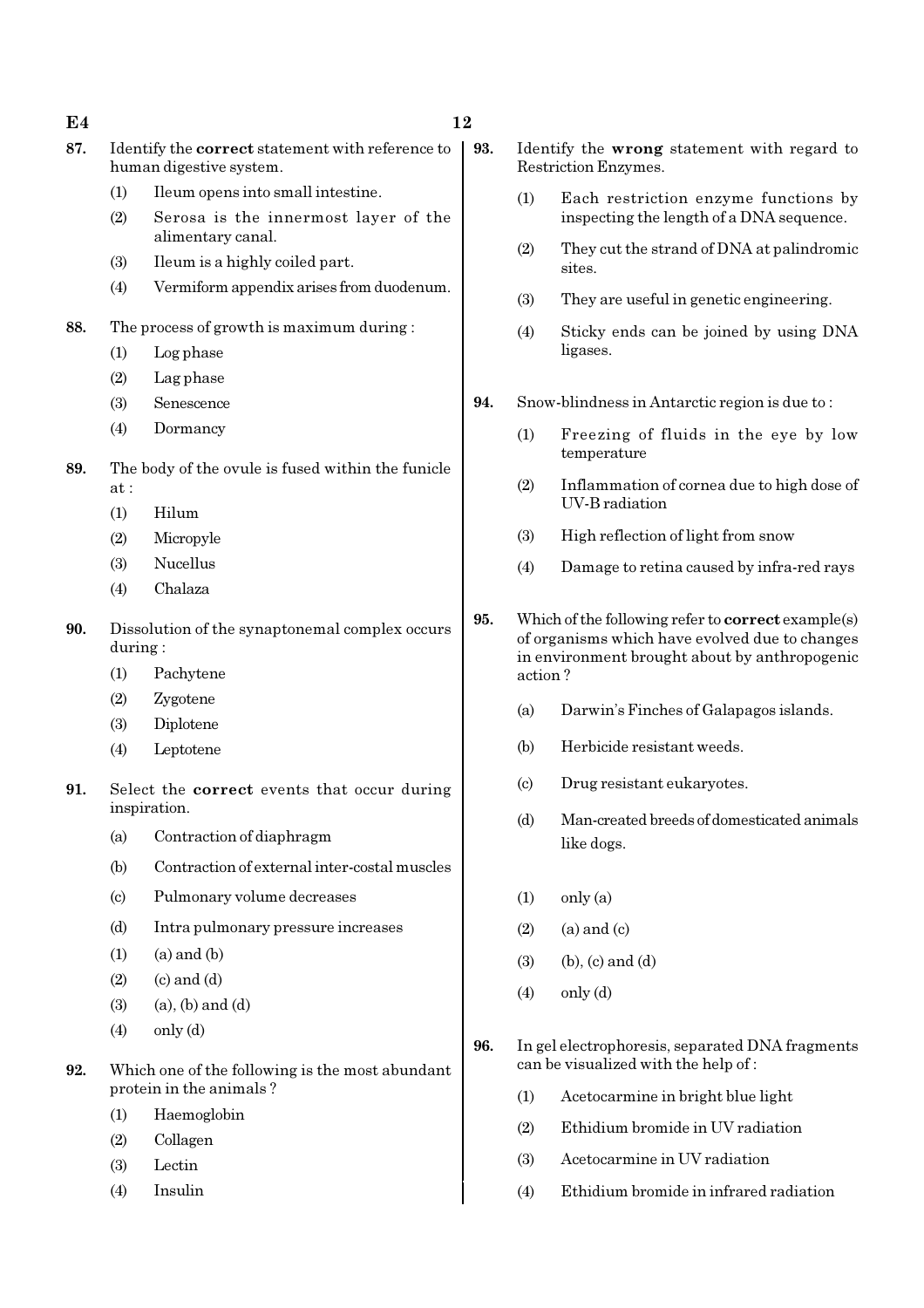$E4$  and  $12$ 

- 87. Identify the correct statement with reference to human digestive system.
	- (1) Ileum opens into small intestine.
	- (2) Serosa is the innermost layer of the alimentary canal.
	- (3) Ileum is a highly coiled part.
	- (4) Vermiform appendix arises from duodenum.
- 88. The process of growth is maximum during :
	- (1) Log phase
	- (2) Lag phase
	- (3) Senescence
	- (4) Dormancy
- 89. The body of the ovule is fused within the funicle at :
	- (1) Hilum
	- (2) Micropyle
	- (3) Nucellus
	- (4) Chalaza
- 90. Dissolution of the synaptonemal complex occurs during :
	- (1) Pachytene
	- (2) Zygotene
	- (3) Diplotene
	- (4) Leptotene
- 91. Select the correct events that occur during inspiration.
	- (a) Contraction of diaphragm
	- (b) Contraction of external inter-costal muscles
	- (c) Pulmonary volume decreases
	- (d) Intra pulmonary pressure increases
	- $(1)$   $(a)$  and  $(b)$
	- $(2)$   $(c)$  and  $(d)$
	- $(3)$   $(a)$ ,  $(b)$  and  $(d)$
	- $(4)$  only  $(d)$
- 92. Which one of the following is the most abundant protein in the animals ?
	- (1) Haemoglobin
	- (2) Collagen
	- (3) Lectin
	- (4) Insulin
- 93. Identify the wrong statement with regard to Restriction Enzymes.
	- (1) Each restriction enzyme functions by inspecting the length of a DNA sequence.
	- (2) They cut the strand of DNA at palindromic sites.
	- (3) They are useful in genetic engineering.
	- (4) Sticky ends can be joined by using DNA ligases.
- 94. Snow-blindness in Antarctic region is due to :
	- (1) Freezing of fluids in the eye by low temperature
	- (2) Inflammation of cornea due to high dose of UV-B radiation
	- (3) High reflection of light from snow
	- (4) Damage to retina caused by infra-red rays
- 95. Which of the following refer to correct example(s) of organisms which have evolved due to changes in environment brought about by anthropogenic action ?
	- (a) Darwin's Finches of Galapagos islands.
	- (b) Herbicide resistant weeds.
	- (c) Drug resistant eukaryotes.
	- (d) Man-created breeds of domesticated animals like dogs.
	- $(1)$  only  $(a)$
	- $(2)$  (a) and (c)
	- $(3)$  (b),  $(c)$  and  $(d)$
	- (4) only (d)
- 96. In gel electrophoresis, separated DNA fragments can be visualized with the help of :
	- (1) Acetocarmine in bright blue light
	- (2) Ethidium bromide in UV radiation
	- (3) Acetocarmine in UV radiation
	- (4) Ethidium bromide in infrared radiation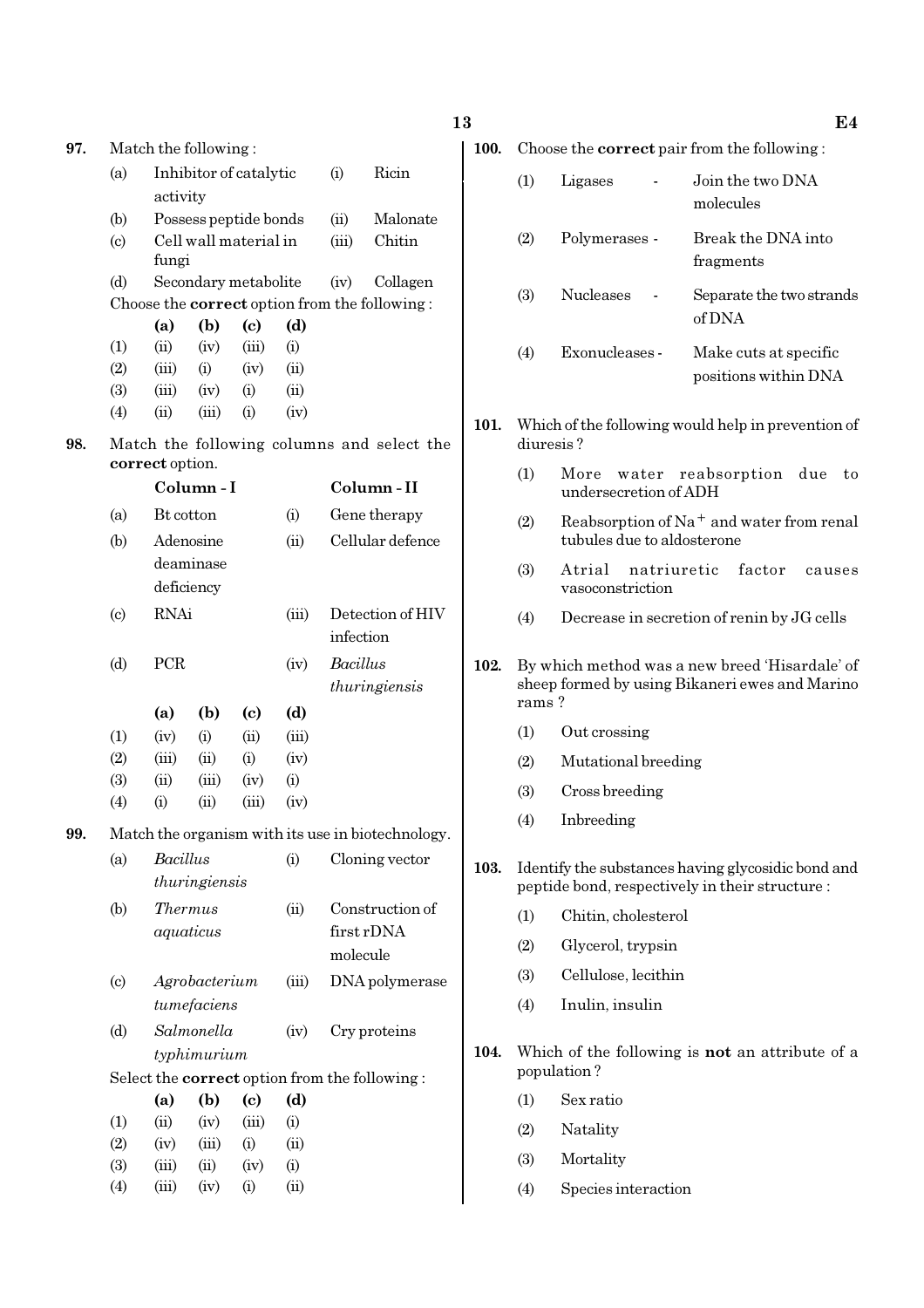| 97. | Match the following:        |                                |                                                               |                            |           |                  |                                                      |  |  |  |
|-----|-----------------------------|--------------------------------|---------------------------------------------------------------|----------------------------|-----------|------------------|------------------------------------------------------|--|--|--|
|     | (a)                         |                                | Inhibitor of catalytic                                        |                            |           | (i)              | Ricin                                                |  |  |  |
|     |                             | activity                       |                                                               |                            |           |                  |                                                      |  |  |  |
|     | (b)                         |                                | Possess peptide bonds                                         |                            | (ii)      | Malonate         |                                                      |  |  |  |
|     | $\left( \mathrm{c}\right)$  | Cell wall material in<br>fungi | (iii)                                                         | Chitin                     |           |                  |                                                      |  |  |  |
|     | (d)                         |                                | Secondary metabolite                                          |                            |           | (iv)             | Collagen                                             |  |  |  |
|     |                             |                                |                                                               |                            |           |                  | Choose the <b>correct</b> option from the following: |  |  |  |
|     |                             | (a)                            | (b)                                                           | $\left( \mathrm{e}\right)$ | (d)       |                  |                                                      |  |  |  |
|     | (1)                         | (ii)                           | (iv)                                                          | (iii)                      | (i)       |                  |                                                      |  |  |  |
|     | (2)                         | (iii)                          | (i)                                                           | (iv)                       | (ii)      |                  |                                                      |  |  |  |
|     | (3)                         | (iii)                          | (iv)                                                          | (i)                        | (ii)      |                  |                                                      |  |  |  |
|     | (4)                         | (ii)                           | (iii)                                                         | (i)                        | (iv)      |                  |                                                      |  |  |  |
| 98. |                             |                                | Match the following columns and select the<br>correct option. |                            |           |                  |                                                      |  |  |  |
|     |                             |                                | Column - I                                                    |                            |           |                  | Column - II                                          |  |  |  |
|     | (a)                         | Bt cotton                      |                                                               |                            | (i)       |                  | Gene therapy                                         |  |  |  |
|     |                             |                                |                                                               |                            | (ii)      |                  |                                                      |  |  |  |
|     | (b)                         |                                | Adenosine<br>deaminase<br>deficiency                          |                            |           | Cellular defence |                                                      |  |  |  |
|     | $\left( \mathrm{c}\right)$  | <b>RNAi</b>                    |                                                               |                            | infection | Detection of HIV |                                                      |  |  |  |
|     | (d)                         | PCR                            |                                                               |                            | (iv)      | Bacillus         | thuringiensis                                        |  |  |  |
|     |                             | (a)                            | (b)                                                           | (c)                        | (d)       |                  |                                                      |  |  |  |
|     | (1)                         | (iv)                           | (i)                                                           | (ii)                       | (iii)     |                  |                                                      |  |  |  |
|     | (2)                         | (iii)                          | (ii)                                                          | (i)                        | (iv)      |                  |                                                      |  |  |  |
|     | (3)                         | (ii)                           | (iii)                                                         | (iv)                       | (i)       |                  |                                                      |  |  |  |
|     | (4)                         | (i)                            | (ii)                                                          | (iii)                      | (iv)      |                  |                                                      |  |  |  |
| 99. |                             |                                |                                                               |                            |           |                  | Match the organism with its use in biotechnology.    |  |  |  |
|     | (a)                         | <b>Bacillus</b>                |                                                               |                            | (i)       |                  | Cloning vector                                       |  |  |  |
|     |                             |                                | thuringiensis                                                 |                            |           |                  |                                                      |  |  |  |
|     | (b)                         |                                |                                                               |                            | (ii)      |                  | Construction of                                      |  |  |  |
|     | <i>Thermus</i><br>aquaticus |                                |                                                               |                            |           | molecule         | first rDNA                                           |  |  |  |
|     | $\left( \mathrm{c}\right)$  |                                | Agrobacterium                                                 |                            | (iii)     |                  | DNA polymerase                                       |  |  |  |
|     |                             |                                | tumefaciens                                                   |                            |           |                  |                                                      |  |  |  |
|     | (d)                         |                                | Salmonella                                                    |                            | (iv)      |                  | Cry proteins                                         |  |  |  |
|     |                             |                                | typhimurium                                                   |                            |           |                  |                                                      |  |  |  |
|     |                             |                                |                                                               |                            |           |                  | Select the <b>correct</b> option from the following: |  |  |  |
|     |                             | (a)                            | (b)                                                           | (c)                        | (d)       |                  |                                                      |  |  |  |
|     | (1)                         | (ii)                           | (iv)                                                          | (iii)                      | (i)       |                  |                                                      |  |  |  |
|     | (2)                         | (iv)                           | (iii)                                                         | (i)                        | (ii)      |                  |                                                      |  |  |  |
|     | (3)                         | (iii)                          | (ii)                                                          | (iv)                       | (i)       |                  |                                                      |  |  |  |
|     | (4)                         | (iii)                          | (iv)                                                          | (i)                        | (ii)      |                  |                                                      |  |  |  |

| I |  |
|---|--|
|   |  |
|   |  |

100. Choose the **correct** pair from the following :

| (1) | Ligases          | Join the two DNA<br>molecules                 |
|-----|------------------|-----------------------------------------------|
| (2) | Polymerases -    | Break the DNA into<br>fragments               |
| (3) | <b>Nucleases</b> | Separate the two strands<br>of DNA            |
| (4) | Exonucleases -   | Make cuts at specific<br>positions within DNA |
|     |                  |                                               |

101. Which of the following would help in prevention of diuresis ?

- (1) More water reabsorption due to undersecretion of ADH
- (2) Reabsorption of Na<sup>+</sup> and water from renal tubules due to aldosterone
- (3) Atrial natriuretic factor causes vasoconstriction
- (4) Decrease in secretion of renin by JG cells
- 102. By which method was a new breed 'Hisardale' of sheep formed by using Bikaneri ewes and Marino rams ?
	- (1) Out crossing
	- (2) Mutational breeding
	- (3) Cross breeding
	- (4) Inbreeding
- 103. Identify the substances having glycosidic bond and peptide bond, respectively in their structure :
	- (1) Chitin, cholesterol
	- (2) Glycerol, trypsin
	- (3) Cellulose, lecithin
	- (4) Inulin, insulin
- 104. Which of the following is not an attribute of a population ?
	- (1) Sex ratio
	- (2) Natality
	- (3) Mortality
	- (4) Species interaction

13 E4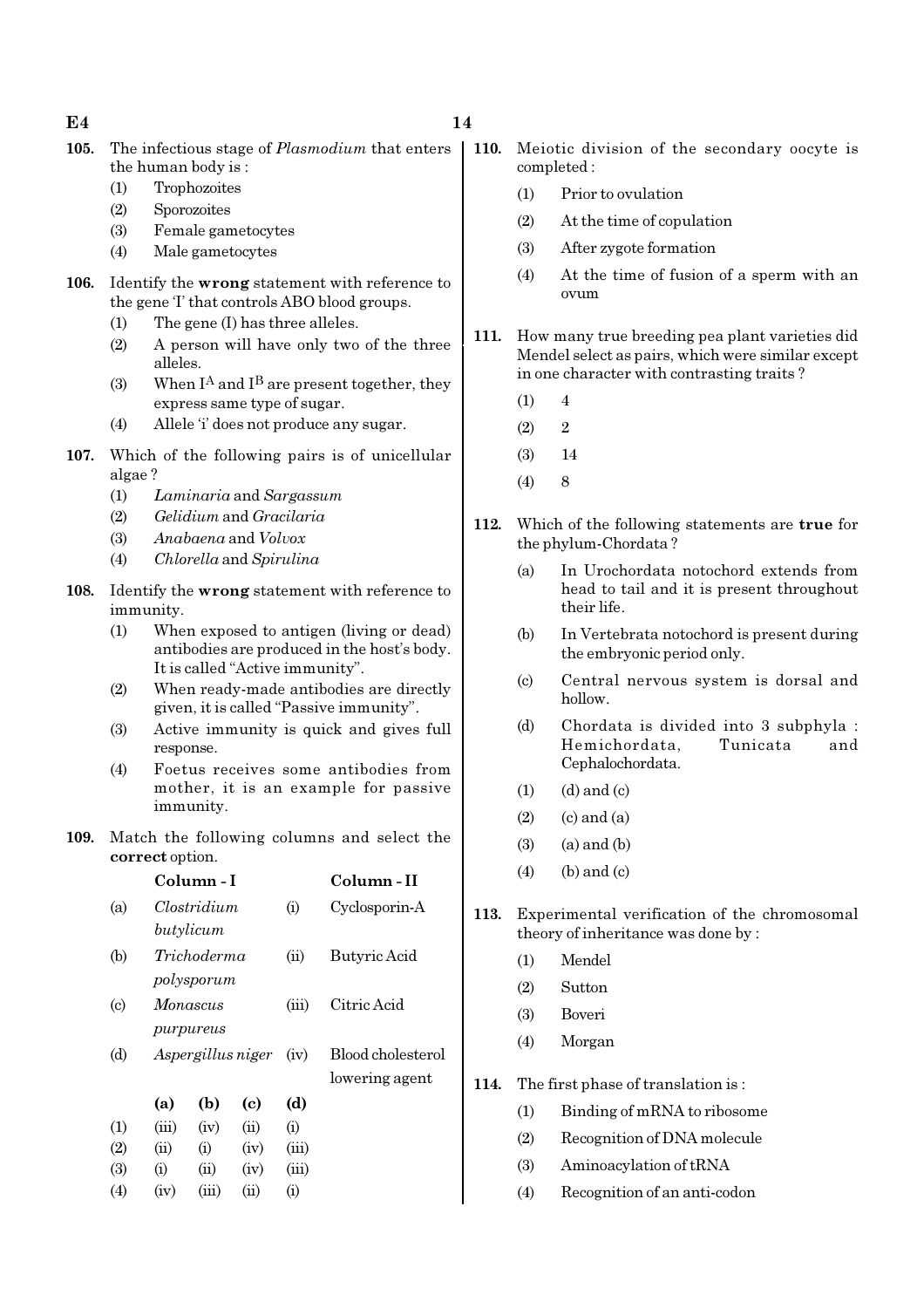### $E4$  14

- 105. The infectious stage of *Plasmodium* that enters the human body is :
	- (1) Trophozoites
	- (2) Sporozoites
	- (3) Female gametocytes
	- (4) Male gametocytes
- 106. Identify the wrong statement with reference to the gene 'I' that controls ABO blood groups.
	- (1) The gene (I) has three alleles.
	- (2) A person will have only two of the three alleles.
	- (3) When  $I^A$  and  $I^B$  are present together, they express same type of sugar.
	- (4) Allele 'i' does not produce any sugar.
- 107. Which of the following pairs is of unicellular algae ?
	- (1) Laminaria and Sargassum
	- (2) Gelidium and Gracilaria
	- (3) Anabaena and Volvox
	- (4) Chlorella and Spirulina
- 108. Identify the wrong statement with reference to immunity.
	- (1) When exposed to antigen (living or dead) antibodies are produced in the host's body. It is called "Active immunity".
	- (2) When ready-made antibodies are directly given, it is called "Passive immunity".
	- (3) Active immunity is quick and gives full response.
	- (4) Foetus receives some antibodies from mother, it is an example for passive immunity.
- 109. Match the following columns and select the correct option.

|                           |       | Column - I  |                   |       | Column - II       |
|---------------------------|-------|-------------|-------------------|-------|-------------------|
| (a)                       |       | Clostridium |                   | (i)   | Cyclosporin-A     |
|                           |       | butylicum   |                   |       |                   |
| (b)                       |       | Trichoderma |                   | (ii)  | Butyric Acid      |
|                           |       | polysporum  |                   |       |                   |
| $\left( \text{c} \right)$ |       | Monascus    |                   | (iii) | Citric Acid       |
|                           |       | purpureus   |                   |       |                   |
| (d)                       |       |             | Aspergillus niger | (iv)  | Blood cholesterol |
|                           |       |             |                   |       | lowering agent    |
|                           | (a)   | (b)         | (c)               | (d)   |                   |
| (1)                       | (iii) | (iv)        | (ii)              | (i)   |                   |
| (2)                       | (ii)  | (i)         | (iv)              | (iii) |                   |
| (3)                       | (i)   | (ii)        | (iv)              | (iii) |                   |
| $\left( 4\right)$         | (iv)  | (iii)       | (ii)              | (i)   |                   |

- 110. Meiotic division of the secondary oocyte is completed :
	- (1) Prior to ovulation
	- (2) At the time of copulation
	- (3) After zygote formation
	- (4) At the time of fusion of a sperm with an ovum
	- 111. How many true breeding pea plant varieties did Mendel select as pairs, which were similar except in one character with contrasting traits ?
		- $(1)$  4
		- $(2)$  2
		- (3) 14
		- $(4)$  8
	- 112. Which of the following statements are true for the phylum-Chordata ?
		- (a) In Urochordata notochord extends from head to tail and it is present throughout their life.
		- (b) In Vertebrata notochord is present during the embryonic period only.
		- (c) Central nervous system is dorsal and hollow.
		- (d) Chordata is divided into 3 subphyla : Hemichordata, Tunicata and Cephalochordata.
		- $(1)$   $(d)$  and  $(c)$
		- $(2)$   $(c)$  and  $(a)$
		- $(3)$   $(a)$  and  $(b)$
		- $(4)$  (b) and (c)
- 113. Experimental verification of the chromosomal theory of inheritance was done by :
	- (1) Mendel
	- (2) Sutton
	- (3) Boveri
	- (4) Morgan
- 114. The first phase of translation is :
	- (1) Binding of mRNA to ribosome
	- (2) Recognition of DNA molecule
	- (3) Aminoacylation of tRNA
	- (4) Recognition of an anti-codon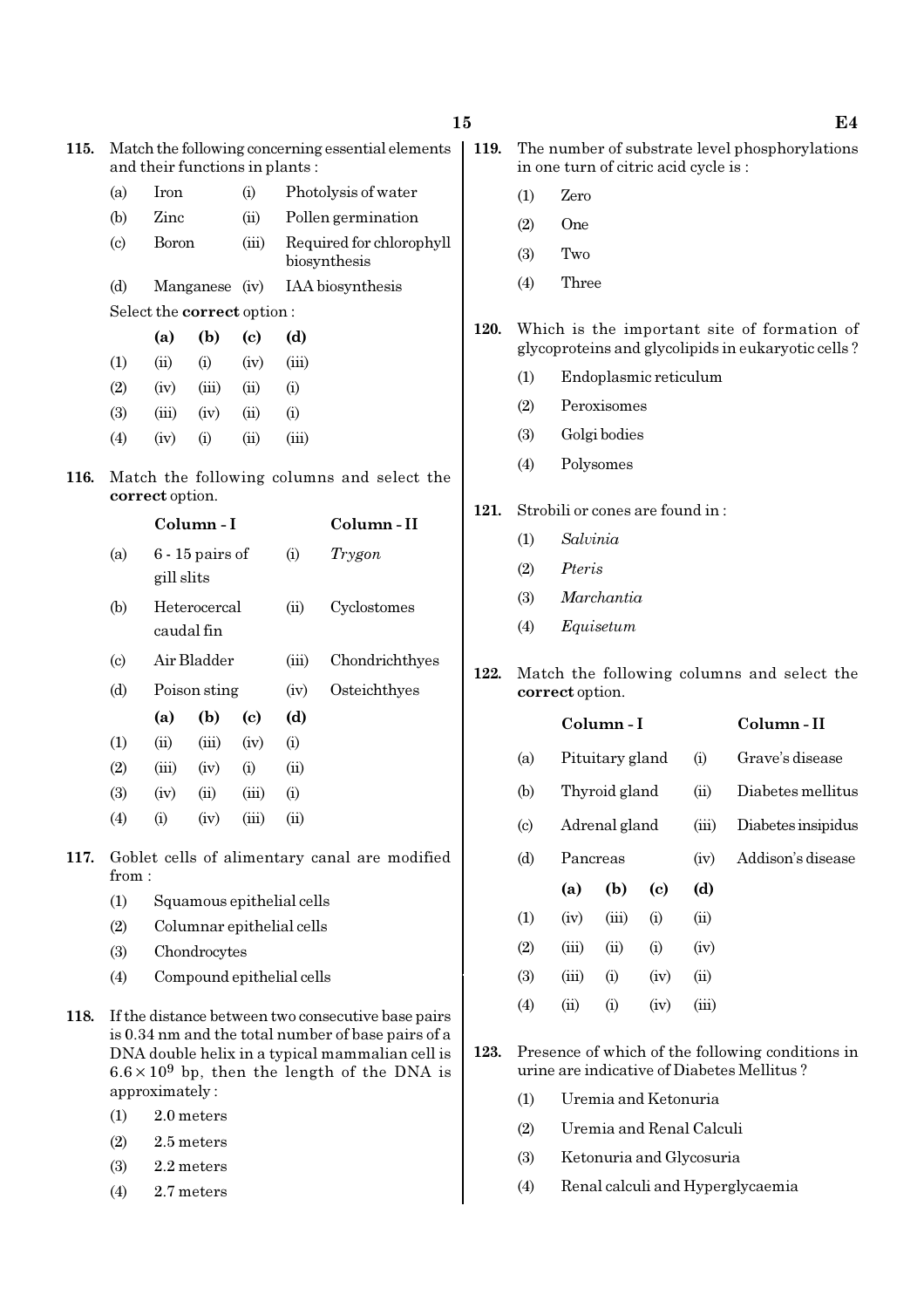| 115. | Match the following concerning essential elements<br>and their functions in plants: |                |                   |       |                                          |                     |  |  |  |
|------|-------------------------------------------------------------------------------------|----------------|-------------------|-------|------------------------------------------|---------------------|--|--|--|
|      | (a)                                                                                 | Iron           |                   | (i)   |                                          | Photolysis of water |  |  |  |
|      | (b)                                                                                 | Zinc           |                   | (ii)  |                                          | Pollen germination  |  |  |  |
|      | $\left( \mathrm{c}\right)$                                                          | <b>Boron</b>   |                   | (iii) | Required for chlorophyll<br>biosynthesis |                     |  |  |  |
|      | (d)                                                                                 | Manganese (iv) |                   |       | IAA biosynthesis                         |                     |  |  |  |
|      | Select the <b>correct</b> option:                                                   |                |                   |       |                                          |                     |  |  |  |
|      |                                                                                     | (a)            | (b)               | (c)   | (d)                                      |                     |  |  |  |
|      | (1)                                                                                 | (ii)           | (i)               | (iv)  | (iii)                                    |                     |  |  |  |
|      | (2)                                                                                 | (iv)           | (iii)             | (ii)  | (i)                                      |                     |  |  |  |
|      | (3)                                                                                 |                | $(iii)$ $(iv)$    | (ii)  | (i)                                      |                     |  |  |  |
|      | (4)                                                                                 | (iv)           | (i)               | (ii)  | (iii)                                    |                     |  |  |  |
| 116. | Match the following columns and select the<br>correct option.                       |                |                   |       |                                          |                     |  |  |  |
|      |                                                                                     |                | Column - I        |       |                                          | Column-II           |  |  |  |
|      | (a)                                                                                 | gill slits     | $6 - 15$ pairs of |       | (i)                                      | Trygon              |  |  |  |
|      |                                                                                     |                |                   |       |                                          |                     |  |  |  |

- (b) Heterocercal (ii) Cyclostomes caudal fin (c) Air Bladder (iii) Chondrichthyes
- (d) Poison sting (iv) Osteichthyes (a) (b) (c) (d)  $(1)$   $(ii)$   $(iii)$   $(iv)$   $(i)$  $(2)$   $(iii)$   $(iv)$   $(i)$   $(ii)$  $(3)$   $(iv)$   $(ii)$   $(iii)$   $(i)$
- 117. Goblet cells of alimentary canal are modified from :
	- (1) Squamous epithelial cells

(4) (i) (iv) (iii) (ii)

- (2) Columnar epithelial cells
- (3) Chondrocytes
- (4) Compound epithelial cells
- 118. If the distance between two consecutive base pairs is 0.34 nm and the total number of base pairs of a DNA double helix in a typical mammalian cell is  $6.6 \times 10^9$  bp, then the length of the DNA is approximately :
	- (1) 2.0 meters
	- (2) 2.5 meters
	- (3) 2.2 meters
	- (4) 2.7 meters
- 119. The number of substrate level phosphorylations in one turn of citric acid cycle is :
	- (1) Zero
	- (2) One
	- (3) Two
	- (4) Three
- 120. Which is the important site of formation of glycoproteins and glycolipids in eukaryotic cells ?
	- (1) Endoplasmic reticulum
	- (2) Peroxisomes
	- (3) Golgi bodies
	- (4) Polysomes
- 121. Strobili or cones are found in :
	- (1) Salvinia
	- (2) Pteris
	- (3) Marchantia
	- (4) Equisetum
- 122. Match the following columns and select the correct option.

|                             |                 | Column - I |                             | Column - II        |  |
|-----------------------------|-----------------|------------|-----------------------------|--------------------|--|
| (a)                         | Pituitary gland |            | (i)                         | Grave's disease    |  |
| (b)                         | Thyroid gland   |            | (ii)                        | Diabetes mellitus  |  |
| $\left( \mathrm{c} \right)$ | Adrenal gland   |            | (iii)                       | Diabetes insipidus |  |
| (d)                         | Pancreas        |            | (iv)                        | Addison's disease  |  |
|                             | (a)             | (b)        | $\left( \mathrm{c} \right)$ | (d)                |  |
| (1)                         | (iv)            | (iii)      | (i)                         | (ii)               |  |
| (2)                         | (iii)           | (ii)       | (i)                         | (iv)               |  |
| (3)                         | (iii)           | (i)        | (iv)                        | (ii)               |  |
| (4)                         | (ii)            | (i)        | (iv)                        | (iii)              |  |
|                             |                 |            |                             |                    |  |

123. Presence of which of the following conditions in urine are indicative of Diabetes Mellitus ?

- (1) Uremia and Ketonuria
- (2) Uremia and Renal Calculi
- (3) Ketonuria and Glycosuria
- (4) Renal calculi and Hyperglycaemia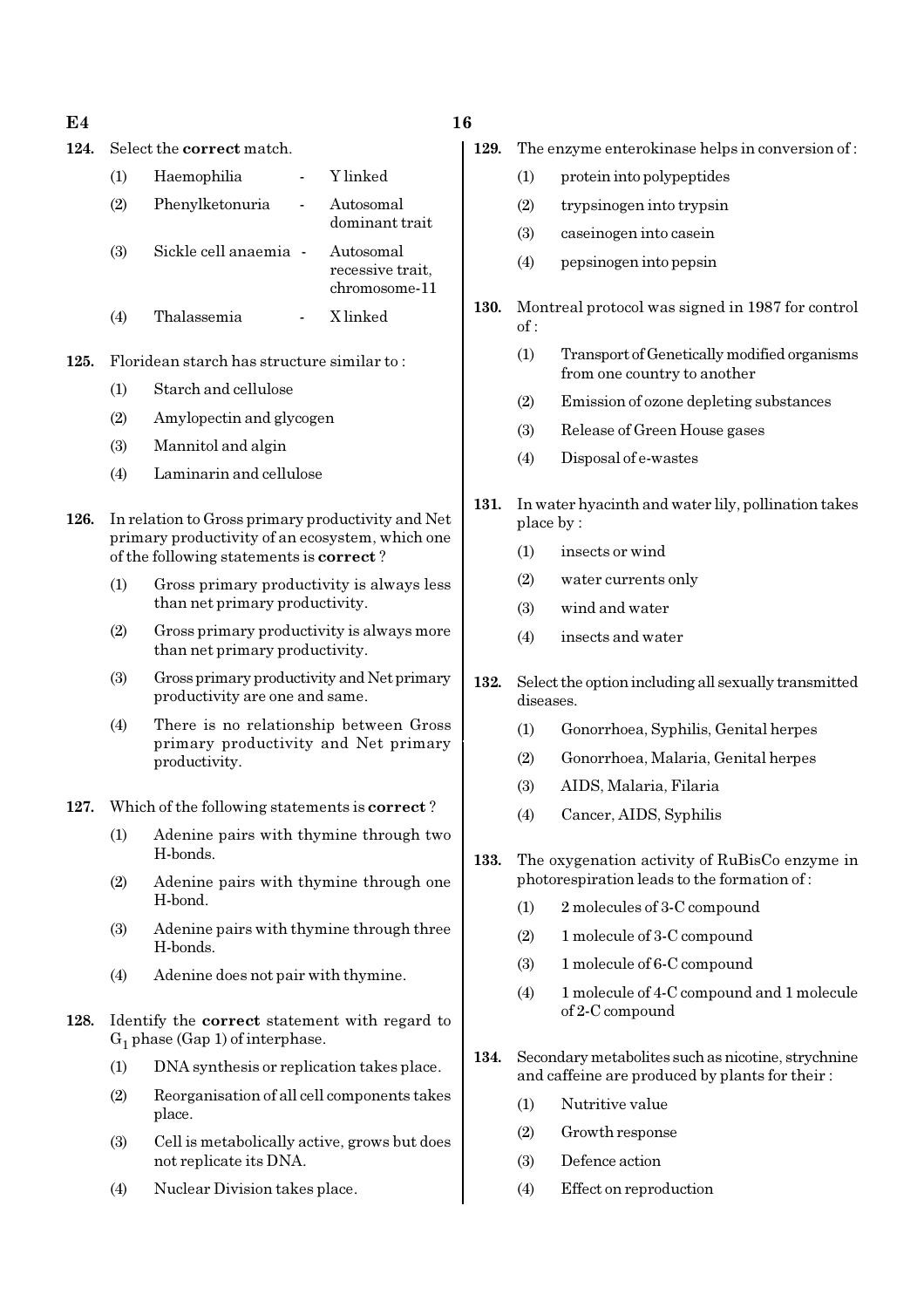| E4 | 16<br>__ |
|----|----------|
|    |          |

# 124. Select the correct match. (1) Haemophilia - Y linked

# (2) Phenylketonuria - Autosomal dominant trait (3) Sickle cell anaemia - Autosomal recessive trait, chromosome-11

(4) Thalassemia - X linked

125. Floridean starch has structure similar to :

- (1) Starch and cellulose
- (2) Amylopectin and glycogen
- (3) Mannitol and algin
- (4) Laminarin and cellulose
- 126. In relation to Gross primary productivity and Net primary productivity of an ecosystem, which one of the following statements is correct ?
	- (1) Gross primary productivity is always less than net primary productivity.
	- (2) Gross primary productivity is always more than net primary productivity.
	- (3) Gross primary productivity and Net primary productivity are one and same.
	- (4) There is no relationship between Gross primary productivity and Net primary productivity.
- 127. Which of the following statements is correct ?
	- (1) Adenine pairs with thymine through two H-bonds.
	- (2) Adenine pairs with thymine through one H-bond.
	- (3) Adenine pairs with thymine through three H-bonds.
	- (4) Adenine does not pair with thymine.
- 128. Identify the correct statement with regard to  $G_1$  phase (Gap 1) of interphase.
	- (1) DNA synthesis or replication takes place.
	- (2) Reorganisation of all cell components takes place.
	- (3) Cell is metabolically active, grows but does not replicate its DNA.
	- (4) Nuclear Division takes place.

- 129. The enzyme enterokinase helps in conversion of :
	- (1) protein into polypeptides
	- (2) trypsinogen into trypsin
	- (3) caseinogen into casein
	- (4) pepsinogen into pepsin
- 130. Montreal protocol was signed in 1987 for control of :
	- (1) Transport of Genetically modified organisms from one country to another
	- (2) Emission of ozone depleting substances
	- (3) Release of Green House gases
	- (4) Disposal of e-wastes
- 131. In water hyacinth and water lily, pollination takes place by :
	- (1) insects or wind
	- (2) water currents only
	- (3) wind and water
	- (4) insects and water
- 132. Select the option including all sexually transmitted diseases.
	- (1) Gonorrhoea, Syphilis, Genital herpes
	- (2) Gonorrhoea, Malaria, Genital herpes
	- (3) AIDS, Malaria, Filaria
	- (4) Cancer, AIDS, Syphilis
- 133. The oxygenation activity of RuBisCo enzyme in photorespiration leads to the formation of :
	- (1) 2 molecules of 3-C compound
	- (2) 1 molecule of 3-C compound
	- (3) 1 molecule of 6-C compound
	- (4) 1 molecule of 4-C compound and 1 molecule of 2-C compound
- 134. Secondary metabolites such as nicotine, strychnine and caffeine are produced by plants for their :
	- (1) Nutritive value
	- (2) Growth response
	- (3) Defence action
	- (4) Effect on reproduction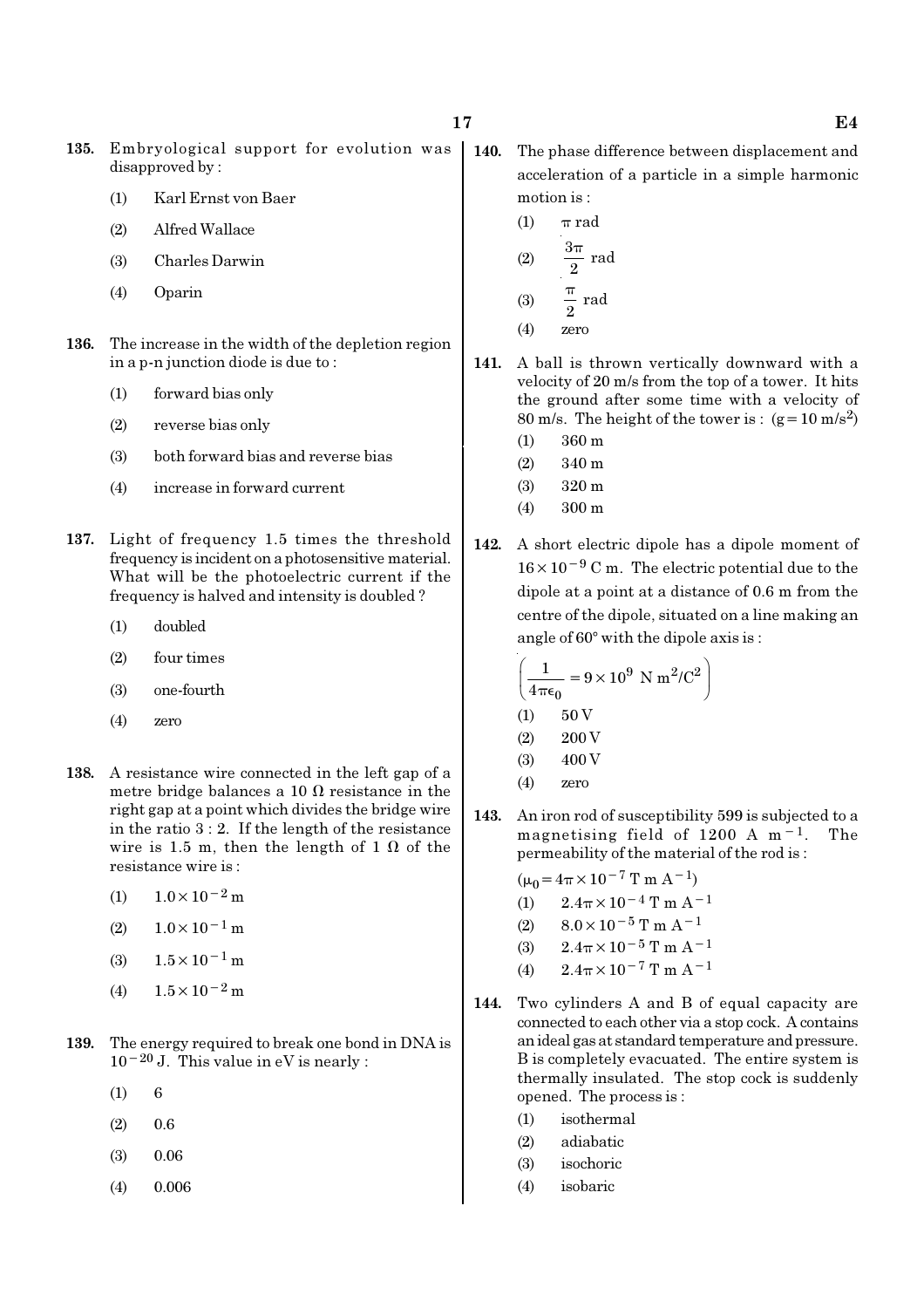- 135. Embryological support for evolution was disapproved by :
	- (1) Karl Ernst von Baer
	- (2) Alfred Wallace
	- (3) Charles Darwin
	- (4) Oparin
- 136. The increase in the width of the depletion region in a p-n junction diode is due to :
	- (1) forward bias only
	- (2) reverse bias only
	- (3) both forward bias and reverse bias
	- (4) increase in forward current
- 137. Light of frequency 1.5 times the threshold frequency is incident on a photosensitive material. What will be the photoelectric current if the frequency is halved and intensity is doubled ?
	- (1) doubled
	- (2) four times
	- (3) one-fourth
	- (4) zero
- 138. A resistance wire connected in the left gap of a metre bridge balances a 10  $\Omega$  resistance in the right gap at a point which divides the bridge wire in the ratio 3 : 2. If the length of the resistance wire is 1.5 m, then the length of 1  $\Omega$  of the resistance wire is :
	- (1)  $1.0 \times 10^{-2}$  m
	- $(2)$  1.0×10<sup>-1</sup> m
	- (3)  $1.5 \times 10^{-1}$  m
	- (4)  $1.5 \times 10^{-2}$  m
- 139. The energy required to break one bond in DNA is 10−20 J. This value in eV is nearly :
	- $(1) 6$
	- $(2)$  0.6
	- (3) 0.06
	- (4) 0.006
- 140. The phase difference between displacement and acceleration of a particle in a simple harmonic motion is :
	- (1)  $\pi$  rad (2) 3 rad 2 π  $(3)$   $\frac{1}{2}$  rad  $\overline{2}$ π
	- (4) zero
- 141. A ball is thrown vertically downward with a velocity of 20 m/s from the top of a tower. It hits the ground after some time with a velocity of 80 m/s. The height of the tower is :  $(g=10 \text{ m/s}^2)$ 
	- (1) 360 m
	- (2) 340 m
	- (3) 320 m
	- (4) 300 m
- 142. A short electric dipole has a dipole moment of 16×10−<sup>9</sup> C m. The electric potential due to the dipole at a point at a distance of 0.6 m from the centre of the dipole, situated on a line making an angle of  $60^{\circ}$  with the dipole axis is :

$$
\left(\frac{1}{4\pi\epsilon_0} = 9 \times 10^9 \text{ N m}^2/\text{C}^2\right)
$$
  
(1) 50 V  
(2) 200 V  
(3) 400 V  
(4) zero

143. An iron rod of susceptibility 599 is subjected to a magnetising field of 1200 A m−1. The permeability of the material of the rod is :

$$
(\mu_0 = 4\pi \times 10^{-7} \text{ T m A}^{-1})
$$

- (1)  $2.4\pi \times 10^{-4}$  T m A<sup>-1</sup>
- (2)  $8.0 \times 10^{-5}$  T m A<sup>-1</sup>
- (3)  $2.4\pi \times 10^{-5}$  T m A<sup>-1</sup>
- (4)  $2.4\pi \times 10^{-7}$  T m A<sup>-1</sup>
- 144. Two cylinders A and B of equal capacity are connected to each other via a stop cock. A contains an ideal gas at standard temperature and pressure. B is completely evacuated. The entire system is thermally insulated. The stop cock is suddenly opened. The process is :
	- (1) isothermal
	- (2) adiabatic
	- (3) isochoric
	- (4) isobaric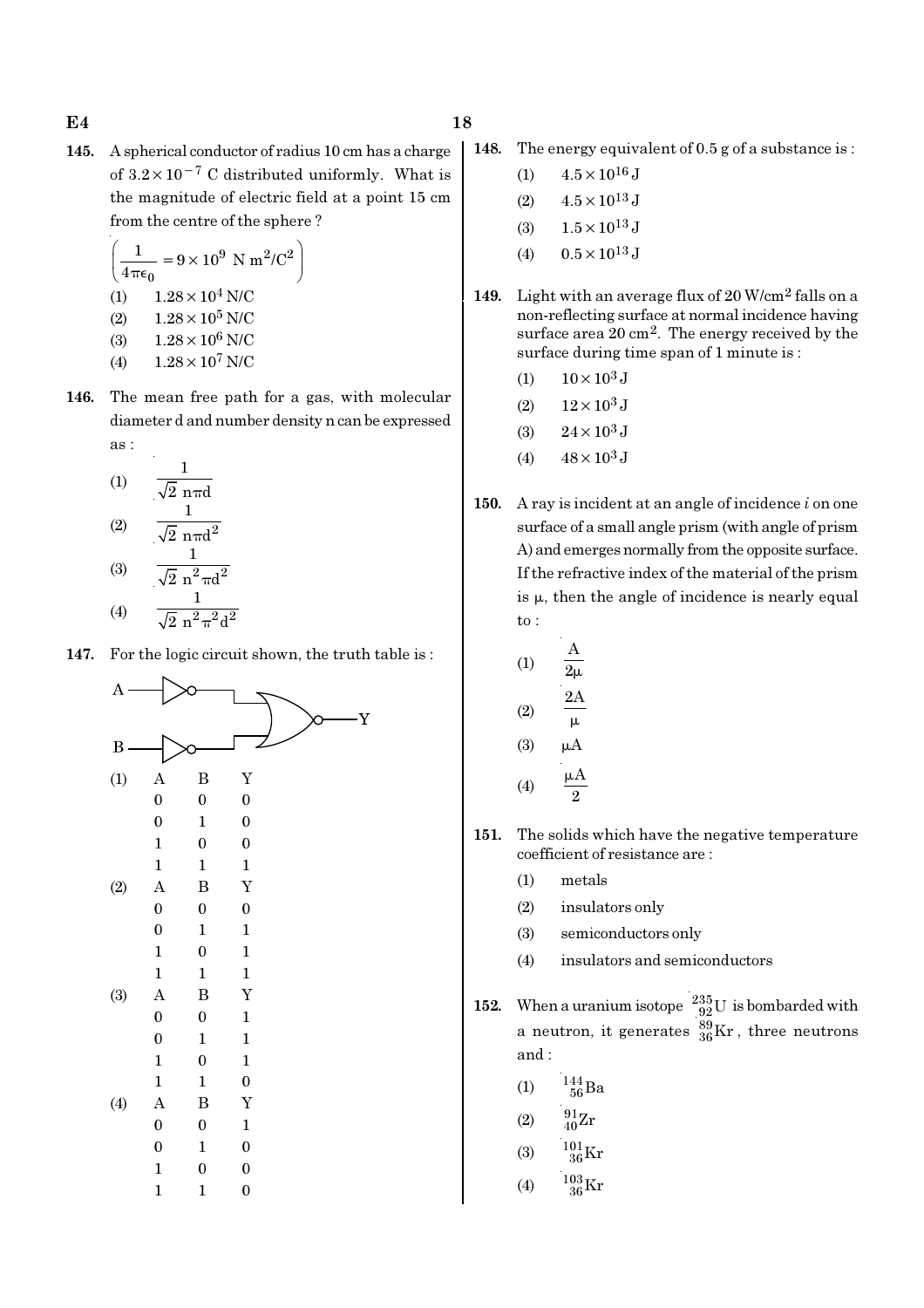145. A spherical conductor of radius 10 cm has a charge of  $3.2 \times 10^{-7}$  C distributed uniformly. What is the magnitude of electric field at a point 15 cm from the centre of the sphere ?

$$
\left(\frac{1}{4\pi\epsilon_0} = 9 \times 10^9 \text{ N m}^2/\text{C}^2\right)
$$
  
(1) 1.28 × 10<sup>4</sup> N/C  
(2) 1.28 × 10<sup>5</sup> N/C  
(3) 1.28 × 10<sup>6</sup> N/C

- (4)  $1.28 \times 10^7$  N/C
- 146. The mean free path for a gas, with molecular diameter d and number density n can be expressed as :

(1) 
$$
\frac{1}{\sqrt{2} \text{ n} \pi d}
$$
  
(2)  $\frac{1}{\sqrt{2} \text{ n} \pi d^2}$ 

(3) 
$$
\frac{\sqrt{2} n^2 \pi d^2}{1}
$$
  
(4) 
$$
\frac{1}{\sqrt{2} n^2 \pi^2 d^2}
$$

147. For the logic circuit shown, the truth table is :



- 148. The energy equivalent of 0.5 g of a substance is :
	- (1)  $4.5 \times 10^{16}$  J
	- (2)  $4.5 \times 10^{13}$  J
	- (3)  $1.5 \times 10^{13}$  J
	- (4)  $0.5 \times 10^{13}$  J
- 149. Light with an average flux of 20 W/cm2 falls on a non-reflecting surface at normal incidence having surface area  $20 \text{ cm}^2$ . The energy received by the surface during time span of 1 minute is :
	- (1)  $10 \times 10^3$  J
	- (2)  $12 \times 10^3$  J
	- (3)  $24 \times 10^3$  J
	- (4)  $48 \times 10^3$  J
- 150. A ray is incident at an angle of incidence  $i$  on one surface of a small angle prism (with angle of prism A) and emerges normally from the opposite surface. If the refractive index of the material of the prism is  $\mu$ , then the angle of incidence is nearly equal to :

$$
(1) \qquad \frac{A}{2\mu}
$$

$$
(2) \qquad \frac{2A}{}
$$

(1)

 $(3)$   $\mu$ A

µ

$$
(4) \qquad \frac{\mu A}{2}
$$

- 151. The solids which have the negative temperature coefficient of resistance are :
	- (1) metals
	- (2) insulators only
	- (3) semiconductors only
	- (4) insulators and semiconductors
- 152. When a uranium isotope  $\frac{235}{92}U$  is bombarded with a neutron, it generates  $^{89}_{36}\text{Kr}$  , three neutrons and :
	- (1)  $\frac{144}{56}Ba$
	- (2)  $\frac{91}{40}Zr$
	- (3)  $\frac{101}{36}$ Kr
	- (4)  $\frac{103}{36}$ Kr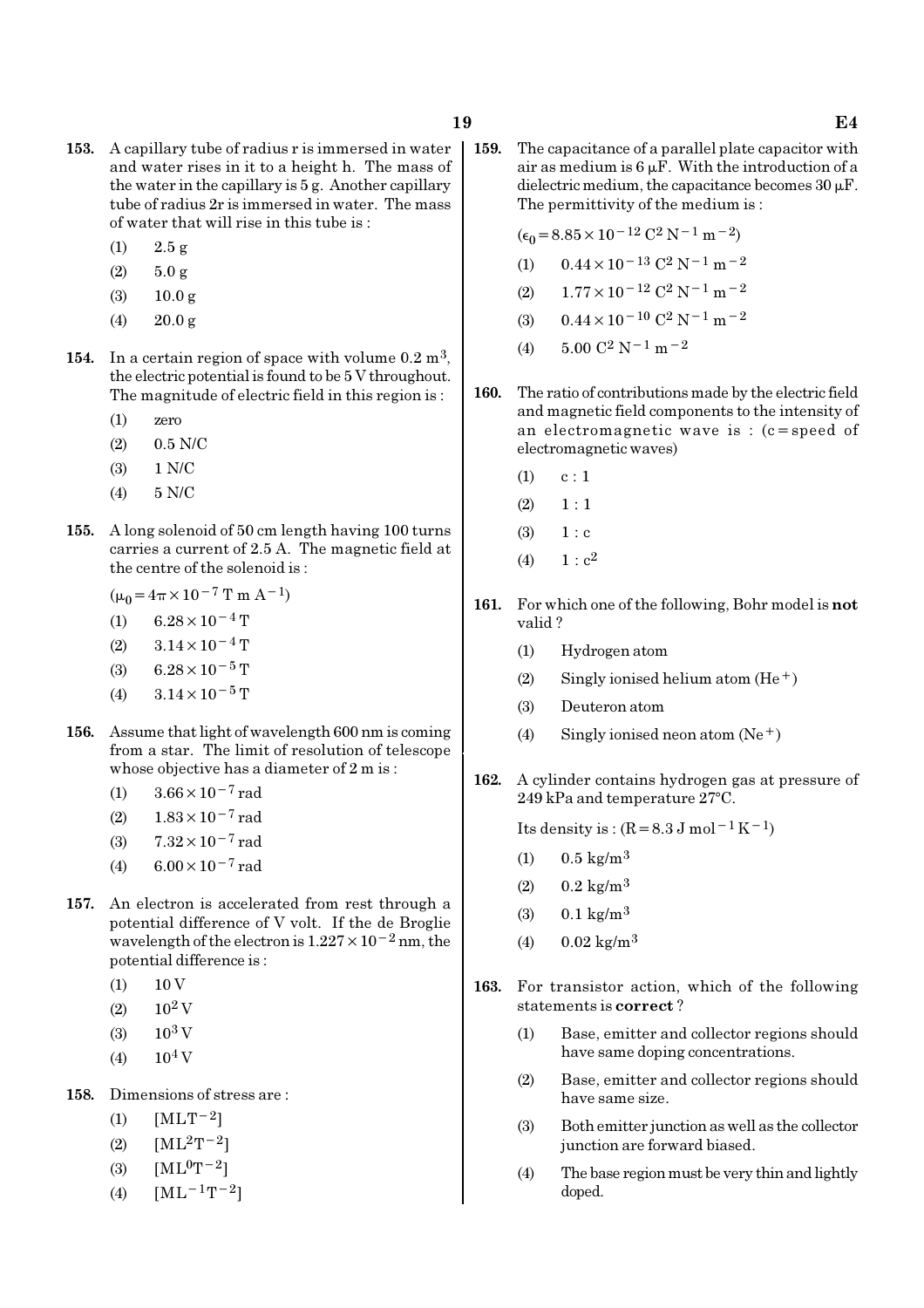- 153. A capillary tube of radius r is immersed in water and water rises in it to a height h. The mass of the water in the capillary is 5 g. Another capillary tube of radius 2r is immersed in water. The mass of water that will rise in this tube is :
	- (1) 2.5 g
	- $(2)$  5.0 g
	- (3) 10.0 g
	- (4)  $20.0 \text{ g}$
- 154. In a certain region of space with volume  $0.2 \text{ m}^3$ , the electric potential is found to be 5 V throughout. The magnitude of electric field in this region is :
	- (1) zero
	- (2) 0.5 N/C
	- (3) 1 N/C
	- (4) 5 N/C
- 155. A long solenoid of 50 cm length having 100 turns carries a current of 2.5 A. The magnetic field at the centre of the solenoid is :
	- $(\mu_0=4\pi\times10^{-7}$  T m A<sup>-1</sup>)
	- (1) 6.28 × 10<sup>-4</sup> T
	- $(2)$  3.14 × 10<sup>-4</sup> T
	- (3) 6.28 × 10<sup>-5</sup> T
	- (4)  $3.14 \times 10^{-5}$  T
- 156. Assume that light of wavelength 600 nm is coming from a star. The limit of resolution of telescope whose objective has a diameter of 2 m is :
	- (1)  $3.66 \times 10^{-7}$  rad
	- (2)  $1.83 \times 10^{-7}$  rad
	- (3) 7.32×10−7 rad
	- (4)  $6.00 \times 10^{-7}$  rad
- 157. An electron is accelerated from rest through a potential difference of V volt. If the de Broglie wavelength of the electron is  $1.227 \times 10^{-2}$  nm, the potential difference is :
	- $(1)$  10 V
	- $(2)$  10<sup>2</sup> V
	- $(3)$  10<sup>3</sup> V
	- $(4)$  10<sup>4</sup> V
- 158. Dimensions of stress are :
	- (1)  $[MLT^{-2}]$
	- (2)  $[ML^2T^{-2}]$
	- (3)  $[ML^{0}T^{-2}]$
	- (4)  $[ML^{-1}T^{-2}]$

159. The capacitance of a parallel plate capacitor with air as medium is  $6 \mu$ F. With the introduction of a dielectric medium, the capacitance becomes  $30 \mu$ F. The permittivity of the medium is :

$$
(\epsilon_0 = 8.85 \times 10^{-12} \, \text{C}^2 \, \text{N}^{-1} \, \text{m}^{-2})
$$

- (1)  $0.44 \times 10^{-13}$  C<sup>2</sup> N<sup>-1</sup> m<sup>-2</sup>
- (2)  $1.77 \times 10^{-12}$  C<sup>2</sup> N<sup>-1</sup> m<sup>-2</sup>
- (3)  $0.44 \times 10^{-10}$  C<sup>2</sup> N<sup>-1</sup> m<sup>-2</sup>
- (4)  $5.00 \text{ C}^2 \text{ N}^{-1} \text{ m}^{-2}$
- 160. The ratio of contributions made by the electric field and magnetic field components to the intensity of an electromagnetic wave is : (c=speed of electromagnetic waves)
	- $(1)$  c : 1
	- $(2) \quad 1 : 1$
	- $(3) 1 : c$
	- (4)  $1 : c<sup>2</sup>$
- 161. For which one of the following, Bohr model is not valid ?
	- (1) Hydrogen atom
	- (2) Singly ionised helium atom  $(He<sup>+</sup>)$
	- (3) Deuteron atom
	- (4) Singly ionised neon atom  $(Ne^+)$
- 162. A cylinder contains hydrogen gas at pressure of  $249$  kPa and temperature  $27^{\circ}$ C.

Its density is :  $(R=8.3 J \text{ mol}^{-1} \text{K}^{-1})$ 

- (1)  $0.5 \text{ kg/m}^3$
- $(2)$  0.2 kg/m<sup>3</sup>
- $(3)$  0.1 kg/m<sup>3</sup>
- $(4)$  0.02 kg/m<sup>3</sup>
- 163. For transistor action, which of the following statements is correct ?
	- (1) Base, emitter and collector regions should have same doping concentrations.
	- (2) Base, emitter and collector regions should have same size.
	- (3) Both emitter junction as well as the collector junction are forward biased.
	- (4) The base region must be very thin and lightly doped.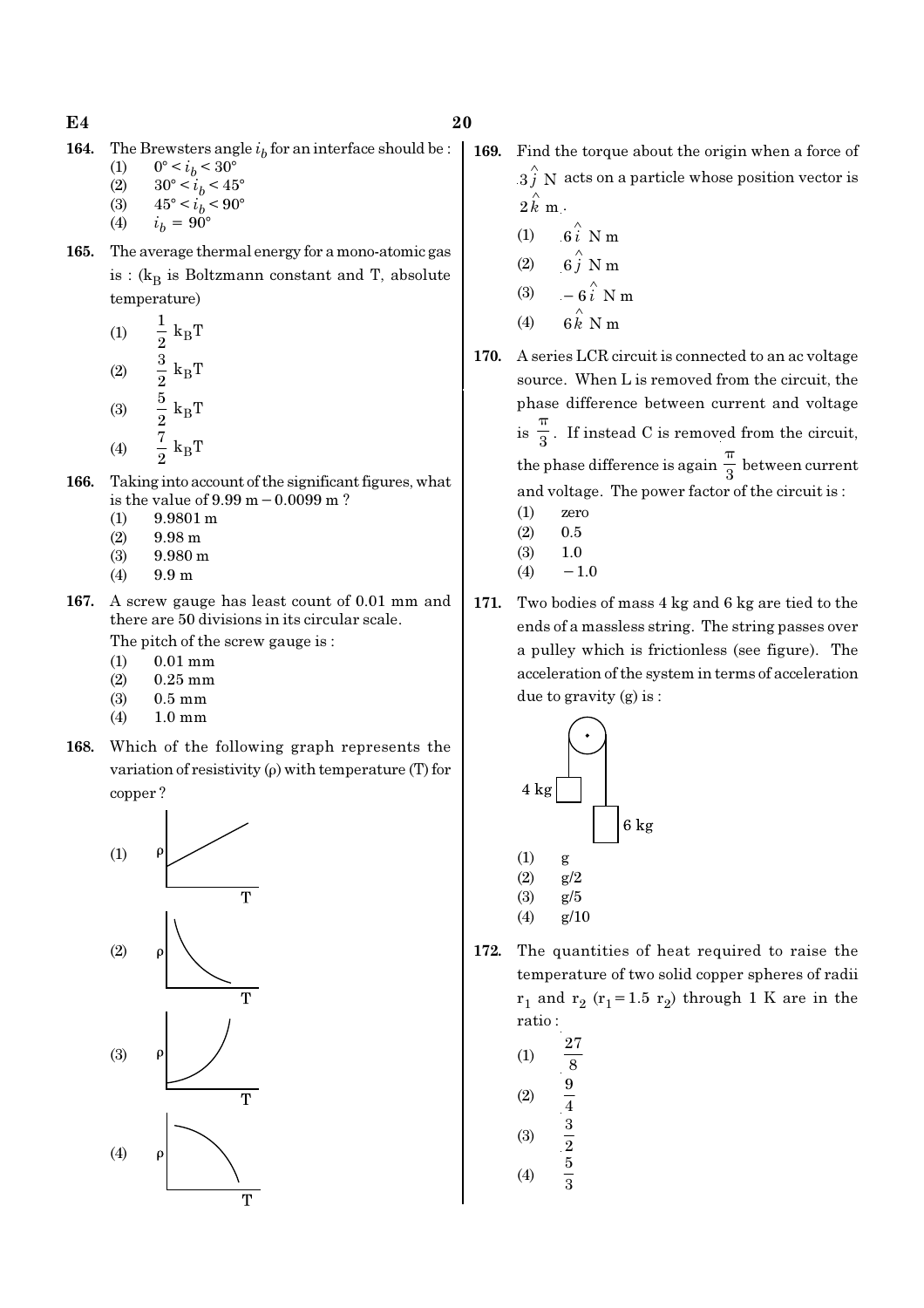**164.** The Brewsters angle  $i<sub>b</sub>$  for an interface should be :

(1)  $0^{\circ} < i_b < 30^{\circ}$ 

- (2)  $30^{\circ} < i_b < 45^{\circ}$
- (3)  $45^{\circ} < i_b < 90^{\circ}$
- (4)  $i_h = 90^\circ$
- 165. The average thermal energy for a mono-atomic gas is : ( $k_B$  is Boltzmann constant and T, absolute temperature)
	- (1)  $\frac{1}{2}$  k<sub>B</sub>  $\frac{1}{2} k_B T$  $(2)$   $\frac{3}{8}$  k<sub>B</sub>  $\frac{3}{2}$  k<sub>B</sub>T (3)  $\frac{3}{9}$  k<sub>B</sub>  $\frac{5}{2}$  k<sub>B</sub>T (4)  $\frac{\cdot}{2}$  k<sub>B</sub>  $\frac{7}{2} k_B T$
- 166. Taking into account of the significant figures, what is the value of 9.99 m−0.0099 m ?
	- (1) 9.9801 m
	- $(2)$  9.98 m
	- (3) 9.980 m
	- (4) 9.9 m
- 167. A screw gauge has least count of 0.01 mm and there are 50 divisions in its circular scale.
	- The pitch of the screw gauge is :
	- (1) 0.01 mm
	- (2) 0.25 mm
	- (3) 0.5 mm
	- (4) 1.0 mm
- 168. Which of the following graph represents the variation of resistivity (ρ) with temperature (T) for copper ?



- 169. Find the torque about the origin when a force of
	- $3 \hat{j}$  N acts on a particle whose position vector is  $2 \hat{k}$  m.
	- (1)  $6i \stackrel{\wedge}{\smash{\wedge}} Nm$
	- (2) 6 $\hat{j}$  N m
	- (3)  $-6\hat{i}$  N m
	- (4)  $6 \hat{k}$  N m
- 170. A series LCR circuit is connected to an ac voltage source. When L is removed from the circuit, the phase difference between current and voltage  $is \frac{1}{3}$ π . If instead C is removed from the circuit, the phase difference is again  $\frac{1}{3}$ π between current and voltage. The power factor of the circuit is :
	- (1) zero
	- $(2)$  0.5
	- (3) 1.0
	- $(4) -1.0$
- 171. Two bodies of mass 4 kg and 6 kg are tied to the ends of a massless string. The string passes over a pulley which is frictionless (see figure). The acceleration of the system in terms of acceleration due to gravity (g) is :



- (4) g/10
- 172. The quantities of heat required to raise the temperature of two solid copper spheres of radii  $r_1$  and  $r_2$  ( $r_1$ =1.5  $r_2$ ) through 1 K are in the ratio :

(1) 
$$
\frac{27}{8}
$$
  
\n(2)  $\frac{9}{4}$   
\n(3)  $\frac{3}{2}$   
\n(4)  $\frac{5}{3}$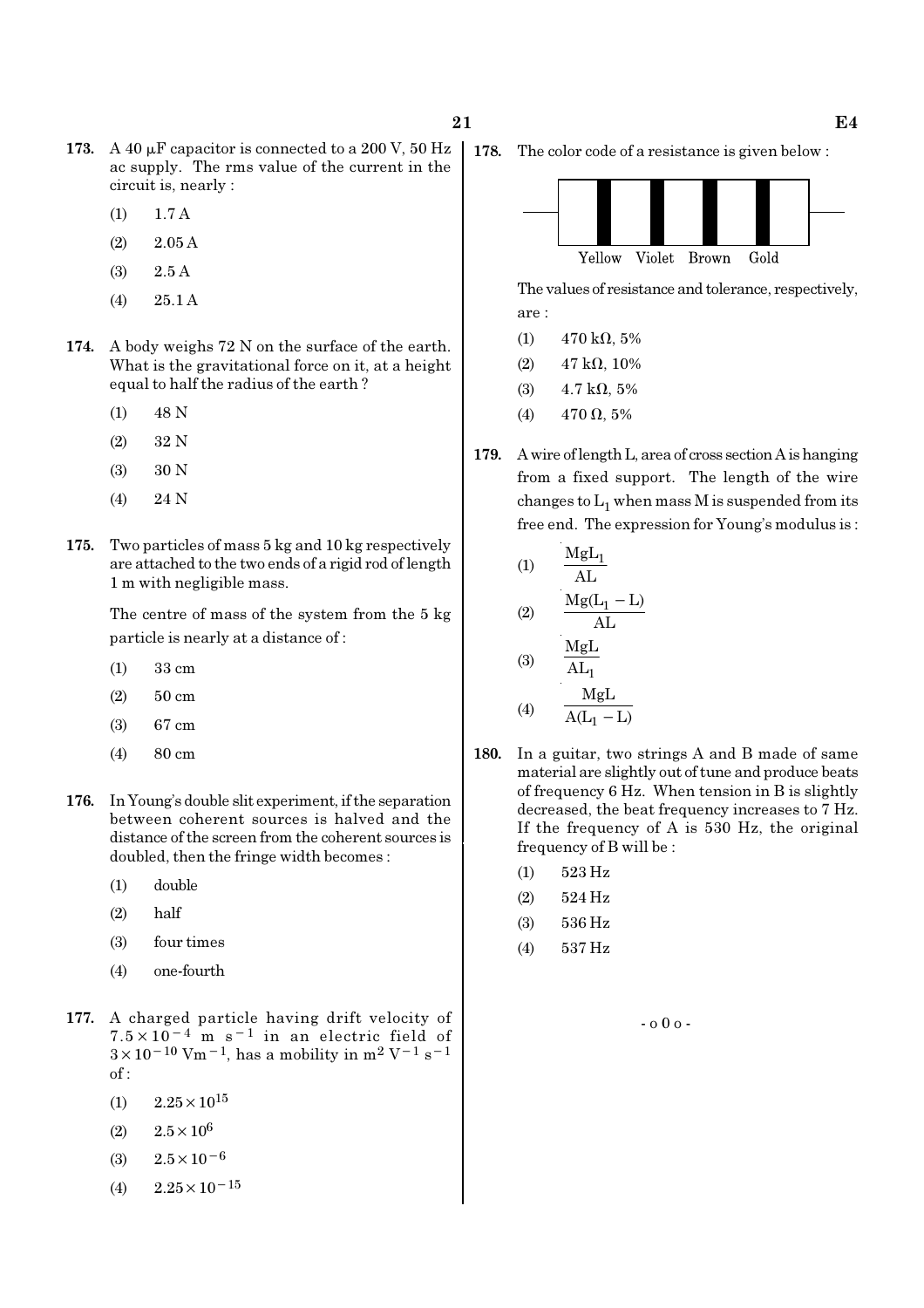- 173. A 40  $\mu$ F capacitor is connected to a 200 V, 50 Hz ac supply. The rms value of the current in the circuit is, nearly :
	- (1) 1.7 A
	- $(2)$  2.05 A
	- (3) 2.5 A
	- (4) 25.1 A
- 174. A body weighs 72 N on the surface of the earth. What is the gravitational force on it, at a height equal to half the radius of the earth ?
	- (1) 48 N
	- (2) 32 N
	- (3) 30 N
	- (4) 24 N
- 175. Two particles of mass 5 kg and 10 kg respectively are attached to the two ends of a rigid rod of length 1 m with negligible mass.

The centre of mass of the system from the 5 kg particle is nearly at a distance of :

- (1) 33 cm
- (2) 50 cm
- (3) 67 cm
- (4) 80 cm
- 176. In Young's double slit experiment, if the separation between coherent sources is halved and the distance of the screen from the coherent sources is doubled, then the fringe width becomes :
	- (1) double
	- (2) half
	- (3) four times
	- (4) one-fourth
- 177. A charged particle having drift velocity of  $7.5 \times 10^{-4}$  m s<sup>-1</sup> in an electric field of  $3 \times 10^{-10}$  Vm<sup>-1</sup>, has a mobility in m<sup>2</sup> V<sup>-1</sup> s<sup>-1</sup> of :
	- $(1)$  2.25  $\times$  10<sup>15</sup>
	- (2)  $2.5 \times 10^6$
	- (3)  $2.5 \times 10^{-6}$
	- (4)  $2.25 \times 10^{-15}$

178. The color code of a resistance is given below :



The values of resistance and tolerance, respectively, are :

- (1)  $470 \text{ k}\Omega, 5\%$
- (2)  $47 \text{ k}\Omega$ , 10%
- (3)  $4.7 \text{ k}\Omega, 5\%$
- (4)  $470 \Omega, 5\%$
- 179. A wire of length L, area of cross section A is hanging from a fixed support. The length of the wire changes to  $\mathrm{L}_1$  when mass M is suspended from its free end. The expression for Young's modulus is :

(1) 
$$
\frac{MgL_1}{AL}
$$
  
\n(2)  $\frac{Mg(L_1 - L)}{AL}$   
\n(3)  $\frac{MgL}{AL_1}$ 

$$
(4) \qquad \frac{MgL}{A(L_1 - L)}
$$

- 180. In a guitar, two strings A and B made of same material are slightly out of tune and produce beats of frequency 6 Hz. When tension in B is slightly decreased, the beat frequency increases to 7 Hz. If the frequency of A is 530 Hz, the original frequency of B will be :
	- (1) 523 Hz
	- (2) 524 Hz
	- (3) 536 Hz
	- (4) 537 Hz

- o 0 o -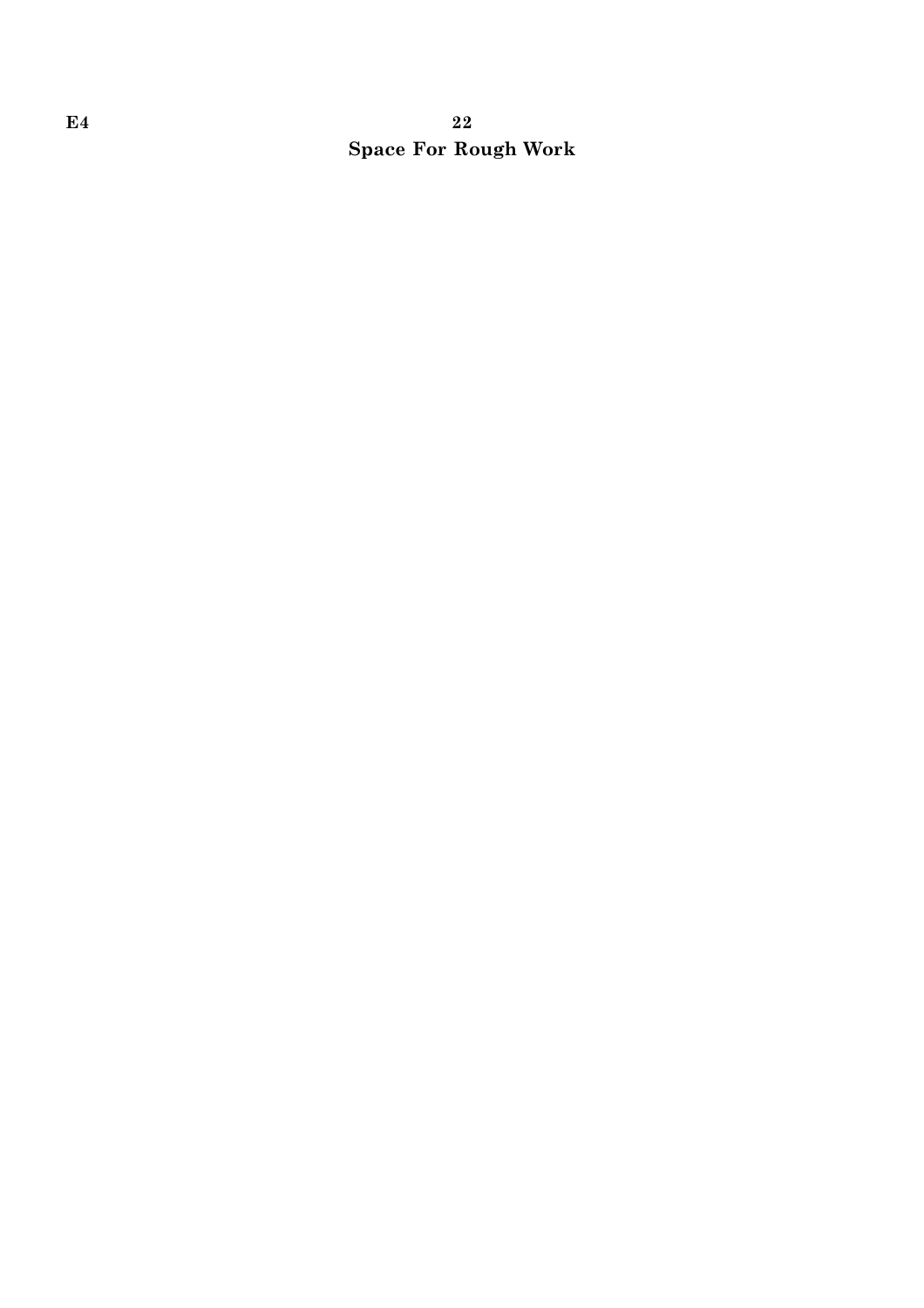# $E4$  and  $22$ Space For Rough Work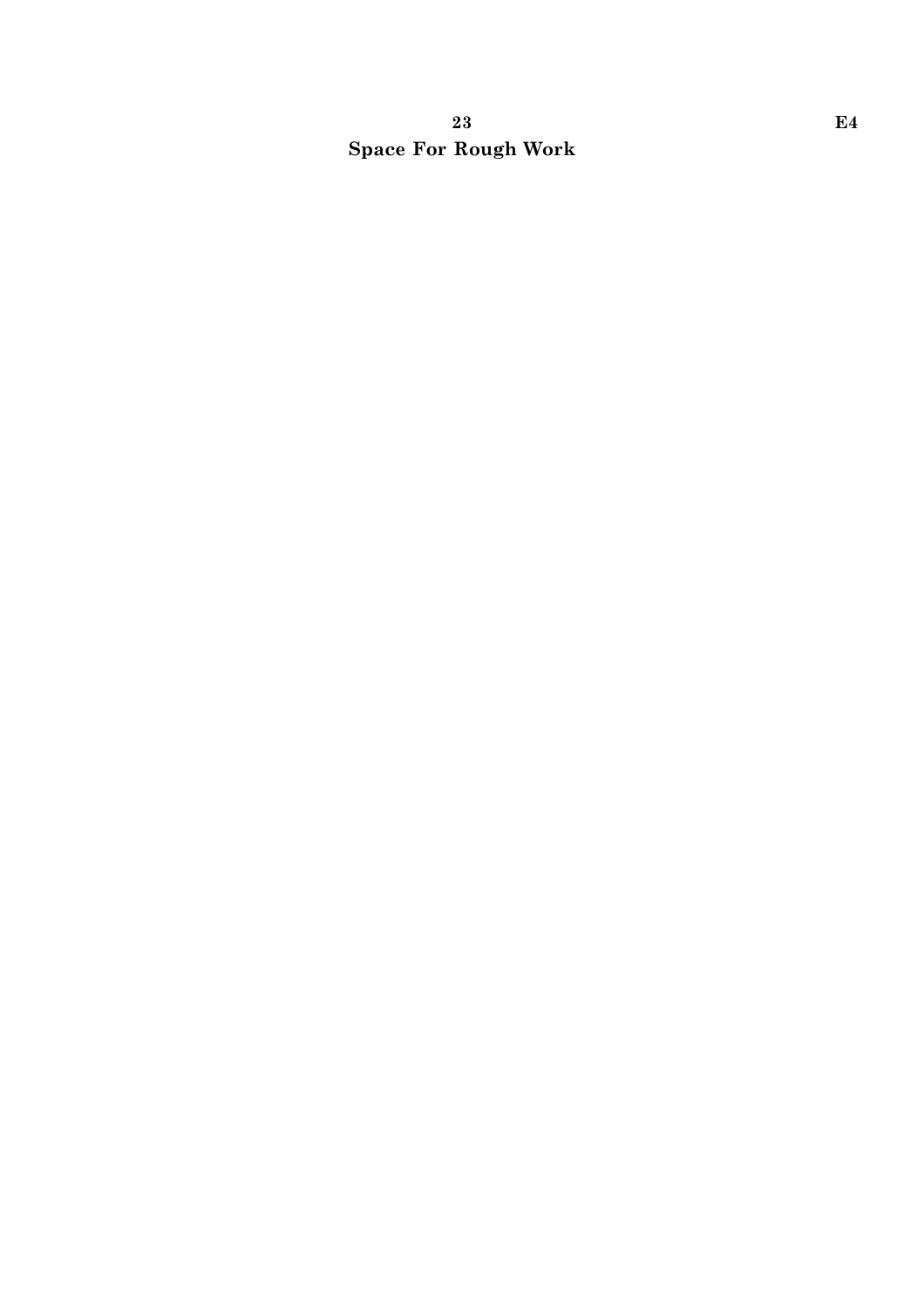# 23 E4 Space For Rough Work